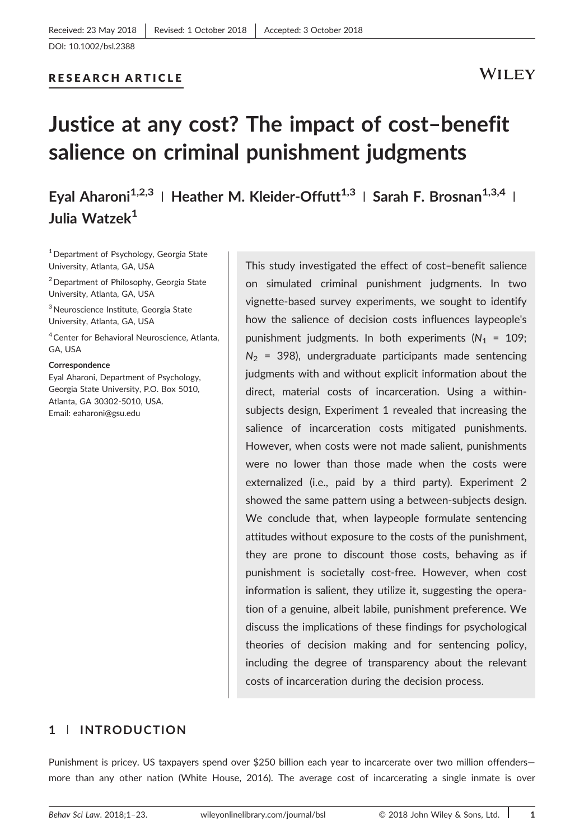### RESEARCH ARTICLE

# **Justice at any cost? The impact of cost–benefit salience on criminal punishment judgments**

**Eyal Aharoni1,2,3 <sup>|</sup> Heather M. Kleider‐Offutt1,3 <sup>|</sup> Sarah F. Brosnan1,3,4 <sup>|</sup> Julia Watzek<sup>1</sup>**

<sup>1</sup> Department of Psychology, Georgia State University, Atlanta, GA, USA

2Department of Philosophy, Georgia State University, Atlanta, GA, USA

3Neuroscience Institute, Georgia State University, Atlanta, GA, USA

4Center for Behavioral Neuroscience, Atlanta, GA, USA

#### **Correspondence**

Eyal Aharoni, Department of Psychology, Georgia State University, P.O. Box 5010, Atlanta, GA 30302‐5010, USA. Email: [eaharoni@gsu.edu](mailto:eaharoni@gsu.edu)

This study investigated the effect of cost–benefit salience on simulated criminal punishment judgments. In two vignette‐based survey experiments, we sought to identify how the salience of decision costs influences laypeople's punishment judgments. In both experiments  $(N_1 = 109)$ ;  $N<sub>2</sub>$  = 398), undergraduate participants made sentencing judgments with and without explicit information about the direct, material costs of incarceration. Using a within‐ subjects design, Experiment 1 revealed that increasing the salience of incarceration costs mitigated punishments. However, when costs were not made salient, punishments were no lower than those made when the costs were externalized (i.e., paid by a third party). Experiment 2 showed the same pattern using a between‐subjects design. We conclude that, when laypeople formulate sentencing attitudes without exposure to the costs of the punishment, they are prone to discount those costs, behaving as if punishment is societally cost‐free. However, when cost information is salient, they utilize it, suggesting the operation of a genuine, albeit labile, punishment preference. We discuss the implications of these findings for psychological theories of decision making and for sentencing policy, including the degree of transparency about the relevant costs of incarceration during the decision process.

### **1** | **INTRODUCTION**

Punishment is pricey. US taxpayers spend over \$250 billion each year to incarcerate over two million offenders more than any other nation (White House, 2016). The average cost of incarcerating a single inmate is over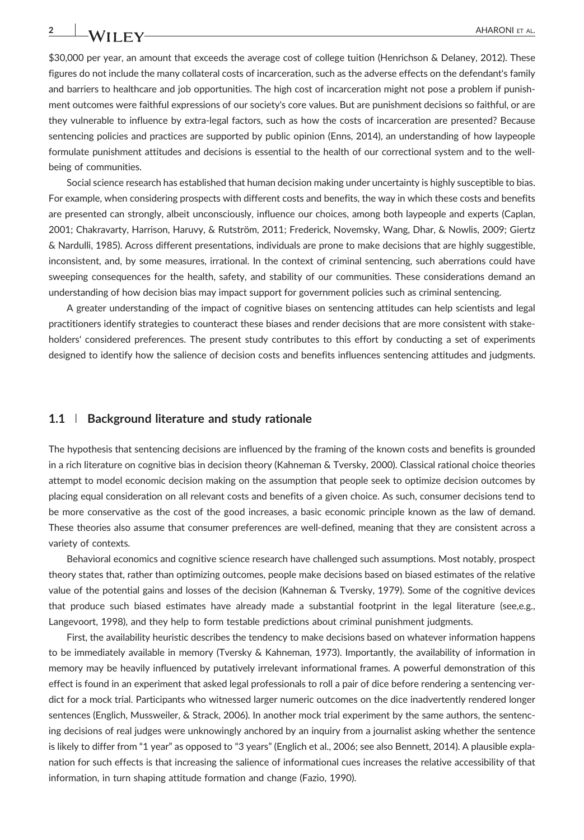\$30,000 per year, an amount that exceeds the average cost of college tuition (Henrichson & Delaney, 2012). These figures do not include the many collateral costs of incarceration, such as the adverse effects on the defendant's family and barriers to healthcare and job opportunities. The high cost of incarceration might not pose a problem if punishment outcomes were faithful expressions of our society's core values. But are punishment decisions so faithful, or are they vulnerable to influence by extra-legal factors, such as how the costs of incarceration are presented? Because sentencing policies and practices are supported by public opinion (Enns, 2014), an understanding of how laypeople formulate punishment attitudes and decisions is essential to the health of our correctional system and to the wellbeing of communities.

Social science research has established that human decision making under uncertainty is highly susceptible to bias. For example, when considering prospects with different costs and benefits, the way in which these costs and benefits are presented can strongly, albeit unconsciously, influence our choices, among both laypeople and experts (Caplan, 2001; Chakravarty, Harrison, Haruvy, & Rutström, 2011; Frederick, Novemsky, Wang, Dhar, & Nowlis, 2009; Giertz & Nardulli, 1985). Across different presentations, individuals are prone to make decisions that are highly suggestible, inconsistent, and, by some measures, irrational. In the context of criminal sentencing, such aberrations could have sweeping consequences for the health, safety, and stability of our communities. These considerations demand an understanding of how decision bias may impact support for government policies such as criminal sentencing.

A greater understanding of the impact of cognitive biases on sentencing attitudes can help scientists and legal practitioners identify strategies to counteract these biases and render decisions that are more consistent with stakeholders' considered preferences. The present study contributes to this effort by conducting a set of experiments designed to identify how the salience of decision costs and benefits influences sentencing attitudes and judgments.

### **1.1** | **Background literature and study rationale**

The hypothesis that sentencing decisions are influenced by the framing of the known costs and benefits is grounded in a rich literature on cognitive bias in decision theory (Kahneman & Tversky, 2000). Classical rational choice theories attempt to model economic decision making on the assumption that people seek to optimize decision outcomes by placing equal consideration on all relevant costs and benefits of a given choice. As such, consumer decisions tend to be more conservative as the cost of the good increases, a basic economic principle known as the law of demand. These theories also assume that consumer preferences are well-defined, meaning that they are consistent across a variety of contexts.

Behavioral economics and cognitive science research have challenged such assumptions. Most notably, prospect theory states that, rather than optimizing outcomes, people make decisions based on biased estimates of the relative value of the potential gains and losses of the decision (Kahneman & Tversky, 1979). Some of the cognitive devices that produce such biased estimates have already made a substantial footprint in the legal literature (see,e.g., Langevoort, 1998), and they help to form testable predictions about criminal punishment judgments.

First, the availability heuristic describes the tendency to make decisions based on whatever information happens to be immediately available in memory (Tversky & Kahneman, 1973). Importantly, the availability of information in memory may be heavily influenced by putatively irrelevant informational frames. A powerful demonstration of this effect is found in an experiment that asked legal professionals to roll a pair of dice before rendering a sentencing verdict for a mock trial. Participants who witnessed larger numeric outcomes on the dice inadvertently rendered longer sentences (Englich, Mussweiler, & Strack, 2006). In another mock trial experiment by the same authors, the sentencing decisions of real judges were unknowingly anchored by an inquiry from a journalist asking whether the sentence is likely to differ from "1 year" as opposed to "3 years" (Englich et al., 2006; see also Bennett, 2014). A plausible explanation for such effects is that increasing the salience of informational cues increases the relative accessibility of that information, in turn shaping attitude formation and change (Fazio, 1990).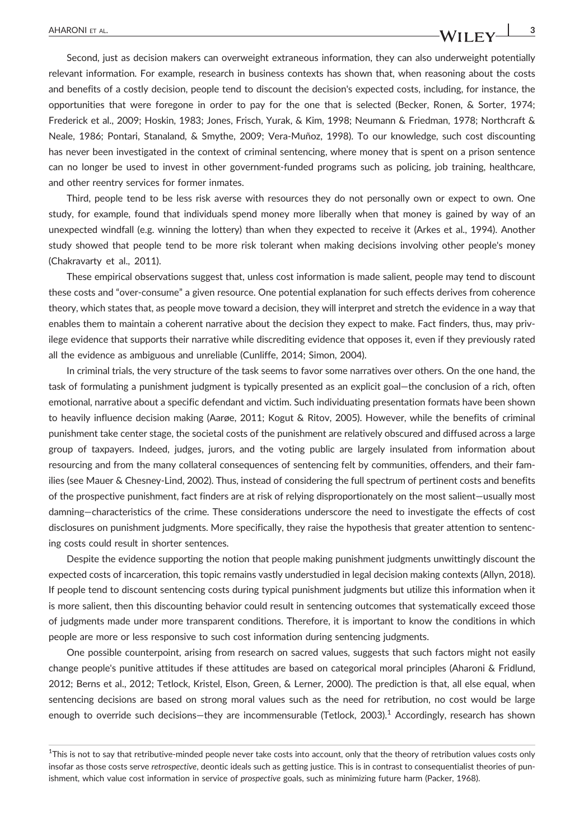Second, just as decision makers can overweight extraneous information, they can also underweight potentially relevant information. For example, research in business contexts has shown that, when reasoning about the costs and benefits of a costly decision, people tend to discount the decision's expected costs, including, for instance, the opportunities that were foregone in order to pay for the one that is selected (Becker, Ronen, & Sorter, 1974; Frederick et al., 2009; Hoskin, 1983; Jones, Frisch, Yurak, & Kim, 1998; Neumann & Friedman, 1978; Northcraft & Neale, 1986; Pontari, Stanaland, & Smythe, 2009; Vera‐Muñoz, 1998). To our knowledge, such cost discounting has never been investigated in the context of criminal sentencing, where money that is spent on a prison sentence can no longer be used to invest in other government‐funded programs such as policing, job training, healthcare, and other reentry services for former inmates.

Third, people tend to be less risk averse with resources they do not personally own or expect to own. One study, for example, found that individuals spend money more liberally when that money is gained by way of an unexpected windfall (e.g. winning the lottery) than when they expected to receive it (Arkes et al., 1994). Another study showed that people tend to be more risk tolerant when making decisions involving other people's money (Chakravarty et al., 2011).

These empirical observations suggest that, unless cost information is made salient, people may tend to discount these costs and "over‐consume" a given resource. One potential explanation for such effects derives from coherence theory, which states that, as people move toward a decision, they will interpret and stretch the evidence in a way that enables them to maintain a coherent narrative about the decision they expect to make. Fact finders, thus, may privilege evidence that supports their narrative while discrediting evidence that opposes it, even if they previously rated all the evidence as ambiguous and unreliable (Cunliffe, 2014; Simon, 2004).

In criminal trials, the very structure of the task seems to favor some narratives over others. On the one hand, the task of formulating a punishment judgment is typically presented as an explicit goal—the conclusion of a rich, often emotional, narrative about a specific defendant and victim. Such individuating presentation formats have been shown to heavily influence decision making (Aarøe, 2011; Kogut & Ritov, 2005). However, while the benefits of criminal punishment take center stage, the societal costs of the punishment are relatively obscured and diffused across a large group of taxpayers. Indeed, judges, jurors, and the voting public are largely insulated from information about resourcing and from the many collateral consequences of sentencing felt by communities, offenders, and their families (see Mauer & Chesney‐Lind, 2002). Thus, instead of considering the full spectrum of pertinent costs and benefits of the prospective punishment, fact finders are at risk of relying disproportionately on the most salient—usually most damning—characteristics of the crime. These considerations underscore the need to investigate the effects of cost disclosures on punishment judgments. More specifically, they raise the hypothesis that greater attention to sentencing costs could result in shorter sentences.

Despite the evidence supporting the notion that people making punishment judgments unwittingly discount the expected costs of incarceration, this topic remains vastly understudied in legal decision making contexts (Allyn, 2018). If people tend to discount sentencing costs during typical punishment judgments but utilize this information when it is more salient, then this discounting behavior could result in sentencing outcomes that systematically exceed those of judgments made under more transparent conditions. Therefore, it is important to know the conditions in which people are more or less responsive to such cost information during sentencing judgments.

One possible counterpoint, arising from research on sacred values, suggests that such factors might not easily change people's punitive attitudes if these attitudes are based on categorical moral principles (Aharoni & Fridlund, 2012; Berns et al., 2012; Tetlock, Kristel, Elson, Green, & Lerner, 2000). The prediction is that, all else equal, when sentencing decisions are based on strong moral values such as the need for retribution, no cost would be large enough to override such decisions—they are incommensurable (Tetlock, 2003).<sup>1</sup> Accordingly, research has shown

<sup>&</sup>lt;sup>1</sup>This is not to say that retributive-minded people never take costs into account, only that the theory of retribution values costs only insofar as those costs serve *retrospective*, deontic ideals such as getting justice. This is in contrast to consequentialist theories of punishment, which value cost information in service of *prospective* goals, such as minimizing future harm (Packer, 1968).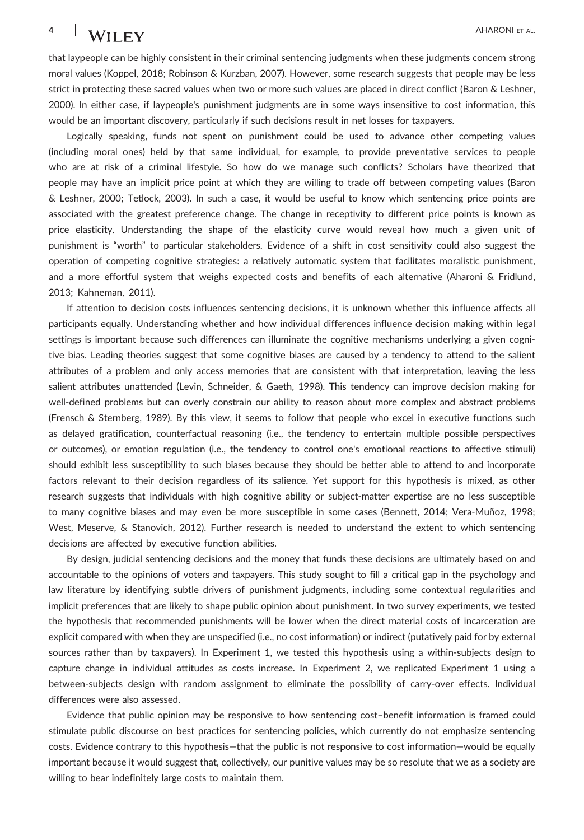that laypeople can be highly consistent in their criminal sentencing judgments when these judgments concern strong moral values (Koppel, 2018; Robinson & Kurzban, 2007). However, some research suggests that people may be less strict in protecting these sacred values when two or more such values are placed in direct conflict (Baron & Leshner, 2000). In either case, if laypeople's punishment judgments are in some ways insensitive to cost information, this would be an important discovery, particularly if such decisions result in net losses for taxpayers.

Logically speaking, funds not spent on punishment could be used to advance other competing values (including moral ones) held by that same individual, for example, to provide preventative services to people who are at risk of a criminal lifestyle. So how do we manage such conflicts? Scholars have theorized that people may have an implicit price point at which they are willing to trade off between competing values (Baron & Leshner, 2000; Tetlock, 2003). In such a case, it would be useful to know which sentencing price points are associated with the greatest preference change. The change in receptivity to different price points is known as price elasticity. Understanding the shape of the elasticity curve would reveal how much a given unit of punishment is "worth" to particular stakeholders. Evidence of a shift in cost sensitivity could also suggest the operation of competing cognitive strategies: a relatively automatic system that facilitates moralistic punishment, and a more effortful system that weighs expected costs and benefits of each alternative (Aharoni & Fridlund, 2013; Kahneman, 2011).

If attention to decision costs influences sentencing decisions, it is unknown whether this influence affects all participants equally. Understanding whether and how individual differences influence decision making within legal settings is important because such differences can illuminate the cognitive mechanisms underlying a given cognitive bias. Leading theories suggest that some cognitive biases are caused by a tendency to attend to the salient attributes of a problem and only access memories that are consistent with that interpretation, leaving the less salient attributes unattended (Levin, Schneider, & Gaeth, 1998). This tendency can improve decision making for well‐defined problems but can overly constrain our ability to reason about more complex and abstract problems (Frensch & Sternberg, 1989). By this view, it seems to follow that people who excel in executive functions such as delayed gratification, counterfactual reasoning (i.e., the tendency to entertain multiple possible perspectives or outcomes), or emotion regulation (i.e., the tendency to control one's emotional reactions to affective stimuli) should exhibit less susceptibility to such biases because they should be better able to attend to and incorporate factors relevant to their decision regardless of its salience. Yet support for this hypothesis is mixed, as other research suggests that individuals with high cognitive ability or subject-matter expertise are no less susceptible to many cognitive biases and may even be more susceptible in some cases (Bennett, 2014; Vera-Muñoz, 1998; West, Meserve, & Stanovich, 2012). Further research is needed to understand the extent to which sentencing decisions are affected by executive function abilities.

By design, judicial sentencing decisions and the money that funds these decisions are ultimately based on and accountable to the opinions of voters and taxpayers. This study sought to fill a critical gap in the psychology and law literature by identifying subtle drivers of punishment judgments, including some contextual regularities and implicit preferences that are likely to shape public opinion about punishment. In two survey experiments, we tested the hypothesis that recommended punishments will be lower when the direct material costs of incarceration are explicit compared with when they are unspecified (i.e., no cost information) or indirect (putatively paid for by external sources rather than by taxpayers). In Experiment 1, we tested this hypothesis using a within-subjects design to capture change in individual attitudes as costs increase. In Experiment 2, we replicated Experiment 1 using a between-subjects design with random assignment to eliminate the possibility of carry-over effects. Individual differences were also assessed.

Evidence that public opinion may be responsive to how sentencing cost–benefit information is framed could stimulate public discourse on best practices for sentencing policies, which currently do not emphasize sentencing costs. Evidence contrary to this hypothesis—that the public is not responsive to cost information—would be equally important because it would suggest that, collectively, our punitive values may be so resolute that we as a society are willing to bear indefinitely large costs to maintain them.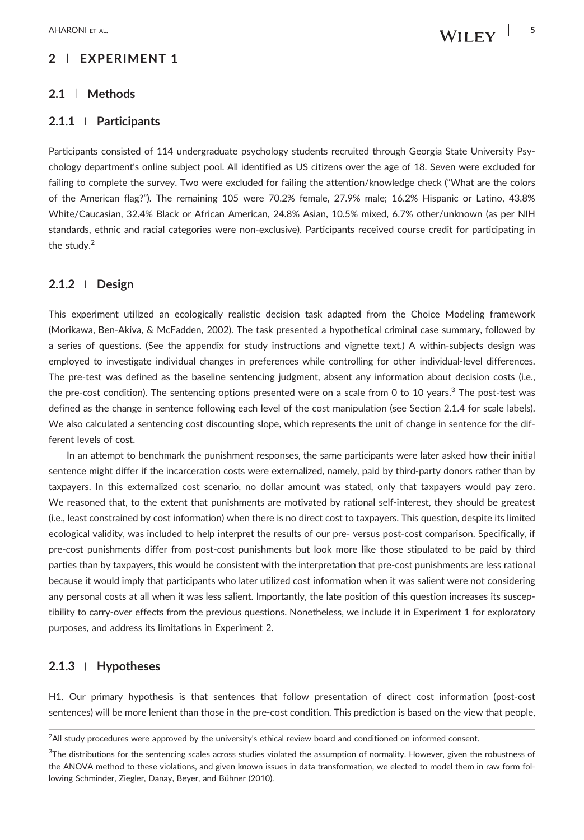### **2** | **EXPERIMENT 1**

### **2.1** | **Methods**

### **2.1.1** <sup>|</sup> **Participants**

Participants consisted of 114 undergraduate psychology students recruited through Georgia State University Psychology department's online subject pool. All identified as US citizens over the age of 18. Seven were excluded for failing to complete the survey. Two were excluded for failing the attention/knowledge check ("What are the colors of the American flag?"). The remaining 105 were 70.2% female, 27.9% male; 16.2% Hispanic or Latino, 43.8% White/Caucasian, 32.4% Black or African American, 24.8% Asian, 10.5% mixed, 6.7% other/unknown (as per NIH standards, ethnic and racial categories were non‐exclusive). Participants received course credit for participating in the study.<sup>2</sup>

### **2.1.2** <sup>|</sup> **Design**

This experiment utilized an ecologically realistic decision task adapted from the Choice Modeling framework (Morikawa, Ben‐Akiva, & McFadden, 2002). The task presented a hypothetical criminal case summary, followed by a series of questions. (See the appendix for study instructions and vignette text.) A within‐subjects design was employed to investigate individual changes in preferences while controlling for other individual-level differences. The pre-test was defined as the baseline sentencing judgment, absent any information about decision costs (i.e., the pre-cost condition). The sentencing options presented were on a scale from 0 to 10 years.<sup>3</sup> The post-test was defined as the change in sentence following each level of the cost manipulation (see Section 2.1.4 for scale labels). We also calculated a sentencing cost discounting slope, which represents the unit of change in sentence for the different levels of cost.

In an attempt to benchmark the punishment responses, the same participants were later asked how their initial sentence might differ if the incarceration costs were externalized, namely, paid by third-party donors rather than by taxpayers. In this externalized cost scenario, no dollar amount was stated, only that taxpayers would pay zero. We reasoned that, to the extent that punishments are motivated by rational self-interest, they should be greatest (i.e., least constrained by cost information) when there is no direct cost to taxpayers. This question, despite its limited ecological validity, was included to help interpret the results of our pre‐ versus post‐cost comparison. Specifically, if pre-cost punishments differ from post-cost punishments but look more like those stipulated to be paid by third parties than by taxpayers, this would be consistent with the interpretation that pre‐cost punishments are less rational because it would imply that participants who later utilized cost information when it was salient were not considering any personal costs at all when it was less salient. Importantly, the late position of this question increases its susceptibility to carry‐over effects from the previous questions. Nonetheless, we include it in Experiment 1 for exploratory purposes, and address its limitations in Experiment 2.

### **2.1.3** <sup>|</sup> **Hypotheses**

H1. Our primary hypothesis is that sentences that follow presentation of direct cost information (post‐cost sentences) will be more lenient than those in the pre‐cost condition. This prediction is based on the view that people,

<sup>&</sup>lt;sup>2</sup>All study procedures were approved by the university's ethical review board and conditioned on informed consent.

<sup>&</sup>lt;sup>3</sup>The distributions for the sentencing scales across studies violated the assumption of normality. However, given the robustness of the ANOVA method to these violations, and given known issues in data transformation, we elected to model them in raw form following Schminder, Ziegler, Danay, Beyer, and Bühner (2010).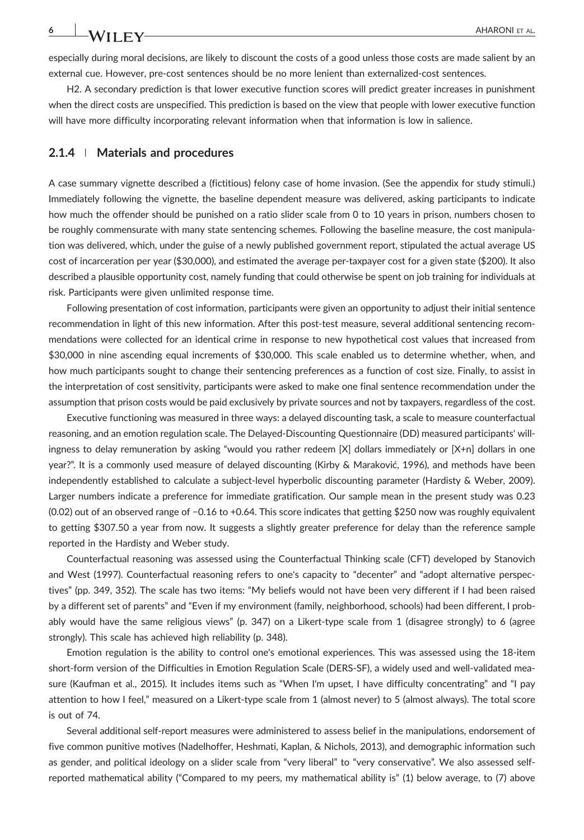especially during moral decisions, are likely to discount the costs of a good unless those costs are made salient by an external cue. However, pre‐cost sentences should be no more lenient than externalized‐cost sentences.

H2. A secondary prediction is that lower executive function scores will predict greater increases in punishment when the direct costs are unspecified. This prediction is based on the view that people with lower executive function will have more difficulty incorporating relevant information when that information is low in salience.

#### **2.1.4** <sup>|</sup> **Materials and procedures**

A case summary vignette described a (fictitious) felony case of home invasion. (See the appendix for study stimuli.) Immediately following the vignette, the baseline dependent measure was delivered, asking participants to indicate how much the offender should be punished on a ratio slider scale from 0 to 10 years in prison, numbers chosen to be roughly commensurate with many state sentencing schemes. Following the baseline measure, the cost manipulation was delivered, which, under the guise of a newly published government report, stipulated the actual average US cost of incarceration per year (\$30,000), and estimated the average per‐taxpayer cost for a given state (\$200). It also described a plausible opportunity cost, namely funding that could otherwise be spent on job training for individuals at risk. Participants were given unlimited response time.

Following presentation of cost information, participants were given an opportunity to adjust their initial sentence recommendation in light of this new information. After this post-test measure, several additional sentencing recommendations were collected for an identical crime in response to new hypothetical cost values that increased from \$30,000 in nine ascending equal increments of \$30,000. This scale enabled us to determine whether, when, and how much participants sought to change their sentencing preferences as a function of cost size. Finally, to assist in the interpretation of cost sensitivity, participants were asked to make one final sentence recommendation under the assumption that prison costs would be paid exclusively by private sources and not by taxpayers, regardless of the cost.

Executive functioning was measured in three ways: a delayed discounting task, a scale to measure counterfactual reasoning, and an emotion regulation scale. The Delayed‐Discounting Questionnaire (DD) measured participants' willingness to delay remuneration by asking "would you rather redeem [X] dollars immediately or [X+n] dollars in one year?". It is a commonly used measure of delayed discounting (Kirby & Maraković, 1996), and methods have been independently established to calculate a subject‐level hyperbolic discounting parameter (Hardisty & Weber, 2009). Larger numbers indicate a preference for immediate gratification. Our sample mean in the present study was 0.23 (0.02) out of an observed range of −0.16 to +0.64. This score indicates that getting \$250 now was roughly equivalent to getting \$307.50 a year from now. It suggests a slightly greater preference for delay than the reference sample reported in the Hardisty and Weber study.

Counterfactual reasoning was assessed using the Counterfactual Thinking scale (CFT) developed by Stanovich and West (1997). Counterfactual reasoning refers to one's capacity to "decenter" and "adopt alternative perspectives" (pp. 349, 352). The scale has two items: "My beliefs would not have been very different if I had been raised by a different set of parents" and "Even if my environment (family, neighborhood, schools) had been different, I probably would have the same religious views" (p. 347) on a Likert‐type scale from 1 (disagree strongly) to 6 (agree strongly). This scale has achieved high reliability (p. 348).

Emotion regulation is the ability to control one's emotional experiences. This was assessed using the 18‐item short-form version of the Difficulties in Emotion Regulation Scale (DERS-SF), a widely used and well-validated measure (Kaufman et al., 2015). It includes items such as "When I'm upset, I have difficulty concentrating" and "I pay attention to how I feel," measured on a Likert‐type scale from 1 (almost never) to 5 (almost always). The total score is out of 74.

Several additional self‐report measures were administered to assess belief in the manipulations, endorsement of five common punitive motives (Nadelhoffer, Heshmati, Kaplan, & Nichols, 2013), and demographic information such as gender, and political ideology on a slider scale from "very liberal" to "very conservative". We also assessed selfreported mathematical ability ("Compared to my peers, my mathematical ability is" (1) below average, to (7) above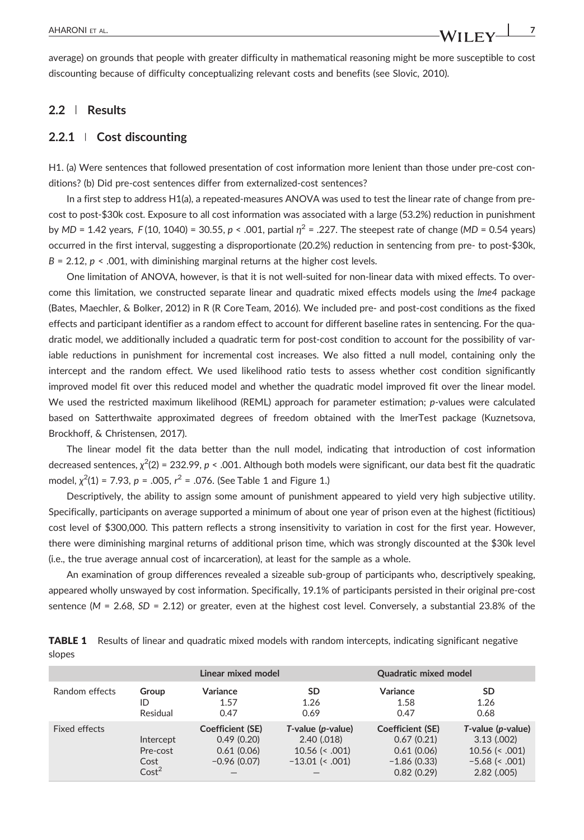average) on grounds that people with greater difficulty in mathematical reasoning might be more susceptible to cost discounting because of difficulty conceptualizing relevant costs and benefits (see Slovic, 2010).

### **2.2** | **Results**

### **2.2.1** <sup>|</sup> **Cost discounting**

H1. (a) Were sentences that followed presentation of cost information more lenient than those under pre‐cost conditions? (b) Did pre‐cost sentences differ from externalized‐cost sentences?

In a first step to address H1(a), a repeated-measures ANOVA was used to test the linear rate of change from precost to post‐\$30k cost. Exposure to all cost information was associated with a large (53.2%) reduction in punishment by *MD* = 1.42 years, *F* (10, 1040) = 30.55, *p* < .001, partial *η*<sup>2</sup> = .227. The steepest rate of change (*MD* = 0.54 years) occurred in the first interval, suggesting a disproportionate (20.2%) reduction in sentencing from pre‐ to post‐\$30k, *B* = 2.12, *p* < .001, with diminishing marginal returns at the higher cost levels.

One limitation of ANOVA, however, is that it is not well-suited for non-linear data with mixed effects. To overcome this limitation, we constructed separate linear and quadratic mixed effects models using the *lme4* package (Bates, Maechler, & Bolker, 2012) in R (R Core Team, 2016). We included pre‐ and post‐cost conditions as the fixed effects and participant identifier as a random effect to account for different baseline rates in sentencing. For the quadratic model, we additionally included a quadratic term for post‐cost condition to account for the possibility of variable reductions in punishment for incremental cost increases. We also fitted a null model, containing only the intercept and the random effect. We used likelihood ratio tests to assess whether cost condition significantly improved model fit over this reduced model and whether the quadratic model improved fit over the linear model. We used the restricted maximum likelihood (REML) approach for parameter estimation; *p*-values were calculated based on Satterthwaite approximated degrees of freedom obtained with the lmerTest package (Kuznetsova, Brockhoff, & Christensen, 2017).

The linear model fit the data better than the null model, indicating that introduction of cost information decreased sentences,  $\chi^2(2) = 232.99$ ,  $p < .001$ . Although both models were significant, our data best fit the quadratic model,  $\chi^2(1)$  = 7.93,  $p = .005$ ,  $r^2 = .076$ . (See Table 1 and Figure 1.)

Descriptively, the ability to assign some amount of punishment appeared to yield very high subjective utility. Specifically, participants on average supported a minimum of about one year of prison even at the highest (fictitious) cost level of \$300,000. This pattern reflects a strong insensitivity to variation in cost for the first year. However, there were diminishing marginal returns of additional prison time, which was strongly discounted at the \$30k level (i.e., the true average annual cost of incarceration), at least for the sample as a whole.

An examination of group differences revealed a sizeable sub‐group of participants who, descriptively speaking, appeared wholly unswayed by cost information. Specifically, 19.1% of participants persisted in their original pre‐cost sentence (*M* = 2.68, *SD* = 2.12) or greater, even at the highest cost level. Conversely, a substantial 23.8% of the

|        | <b>TABLE 1</b> Results of linear and quadratic mixed models with random intercepts, indicating significant negative |
|--------|---------------------------------------------------------------------------------------------------------------------|
| slopes |                                                                                                                     |

|                |                                                    | Linear mixed model                                            |                                                                                   | Quadratic mixed model                                                       |                                                                                                   |
|----------------|----------------------------------------------------|---------------------------------------------------------------|-----------------------------------------------------------------------------------|-----------------------------------------------------------------------------|---------------------------------------------------------------------------------------------------|
| Random effects | Group<br>ID<br>Residual                            | Variance<br>1.57<br>0.47                                      | SD<br>1.26<br>0.69                                                                | Variance<br>1.58<br>0.47                                                    | SD<br>1.26<br>0.68                                                                                |
| Fixed effects  | Intercept<br>Pre-cost<br>Cost<br>Cost <sup>2</sup> | Coefficient (SE)<br>0.49(0.20)<br>0.61(0.06)<br>$-0.96(0.07)$ | $T$ -value ( $p$ -value)<br>2.40(0.018)<br>$10.56 \le 0.001$<br>$-13.01$ (< .001) | Coefficient (SE)<br>0.67(0.21)<br>0.61(0.06)<br>$-1.86(0.33)$<br>0.82(0.29) | $T$ -value ( $p$ -value)<br>3.13(002)<br>$10.56 \le 0.001$<br>$-5.68$ (< .001)<br>$2.82$ $(.005)$ |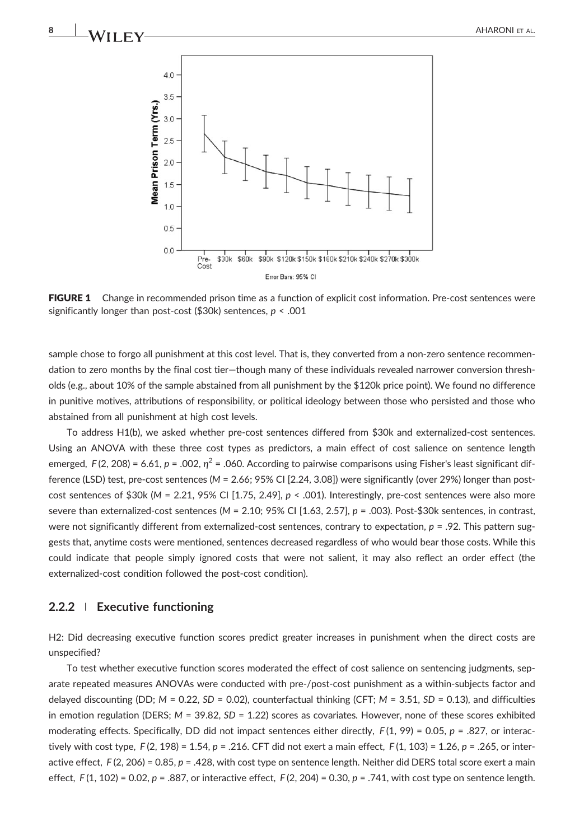

FIGURE 1 Change in recommended prison time as a function of explicit cost information. Pre-cost sentences were significantly longer than post‐cost (\$30k) sentences, *p* < .001

sample chose to forgo all punishment at this cost level. That is, they converted from a non-zero sentence recommendation to zero months by the final cost tier—though many of these individuals revealed narrower conversion thresholds (e.g., about 10% of the sample abstained from all punishment by the \$120k price point). We found no difference in punitive motives, attributions of responsibility, or political ideology between those who persisted and those who abstained from all punishment at high cost levels.

To address H1(b), we asked whether pre‐cost sentences differed from \$30k and externalized‐cost sentences. Using an ANOVA with these three cost types as predictors, a main effect of cost salience on sentence length emerged, *F* (2, 208) = 6.61, *p* = .002, *η*<sup>2</sup> = .060. According to pairwise comparisons using Fisher's least significant difference (LSD) test, pre-cost sentences (*M* = 2.66; 95% CI [2.24, 3.08]) were significantly (over 29%) longer than postcost sentences of \$30k (*M* = 2.21, 95% CI [1.75, 2.49], *p* < .001). Interestingly, pre‐cost sentences were also more severe than externalized‐cost sentences (*M* = 2.10; 95% CI [1.63, 2.57], *p* = .003). Post‐\$30k sentences, in contrast, were not significantly different from externalized-cost sentences, contrary to expectation,  $p = .92$ . This pattern suggests that, anytime costs were mentioned, sentences decreased regardless of who would bear those costs. While this could indicate that people simply ignored costs that were not salient, it may also reflect an order effect (the externalized-cost condition followed the post-cost condition).

#### **2.2.2** <sup>|</sup> **Executive functioning**

H2: Did decreasing executive function scores predict greater increases in punishment when the direct costs are unspecified?

To test whether executive function scores moderated the effect of cost salience on sentencing judgments, separate repeated measures ANOVAs were conducted with pre‐/post‐cost punishment as a within‐subjects factor and delayed discounting (DD; *M* = 0.22, *SD* = 0.02), counterfactual thinking (CFT; *M* = 3.51, *SD* = 0.13), and difficulties in emotion regulation (DERS; *M* = 39.82, *SD* = 1.22) scores as covariates. However, none of these scores exhibited moderating effects. Specifically, DD did not impact sentences either directly, *F* (1, 99) = 0.05, *p* = .827, or interactively with cost type, *F* (2, 198) = 1.54, *p* = .216. CFT did not exert a main effect, *F* (1, 103) = 1.26, *p* = .265, or interactive effect, *F* (2, 206) = 0.85, *p* = .428, with cost type on sentence length. Neither did DERS total score exert a main effect, *F* (1, 102) = 0.02, *p* = .887, or interactive effect, *F* (2, 204) = 0.30, *p* = .741, with cost type on sentence length.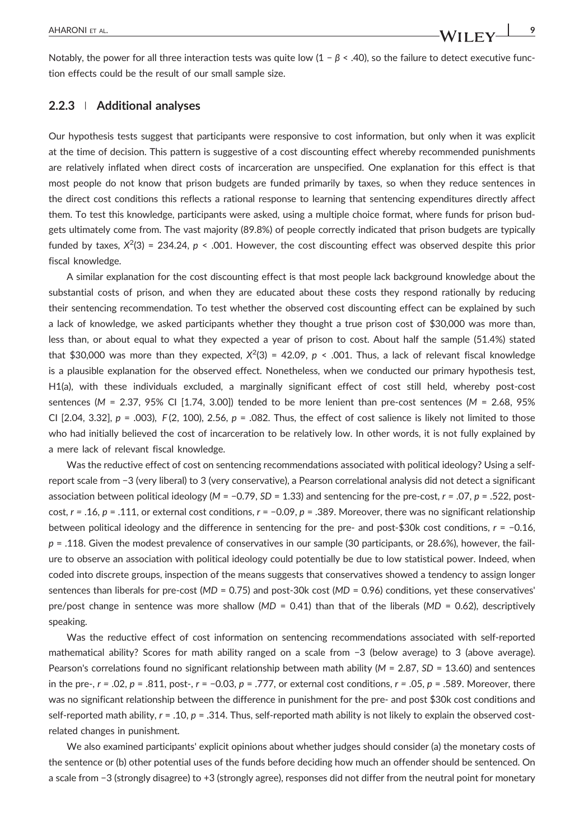Notably, the power for all three interaction tests was quite low (1 − *β* < .40), so the failure to detect executive function effects could be the result of our small sample size.

### **2.2.3** <sup>|</sup> **Additional analyses**

Our hypothesis tests suggest that participants were responsive to cost information, but only when it was explicit at the time of decision. This pattern is suggestive of a cost discounting effect whereby recommended punishments are relatively inflated when direct costs of incarceration are unspecified. One explanation for this effect is that most people do not know that prison budgets are funded primarily by taxes, so when they reduce sentences in the direct cost conditions this reflects a rational response to learning that sentencing expenditures directly affect them. To test this knowledge, participants were asked, using a multiple choice format, where funds for prison budgets ultimately come from. The vast majority (89.8%) of people correctly indicated that prison budgets are typically funded by taxes,  $X^2(3) = 234.24$ ,  $p < .001$ . However, the cost discounting effect was observed despite this prior fiscal knowledge.

A similar explanation for the cost discounting effect is that most people lack background knowledge about the substantial costs of prison, and when they are educated about these costs they respond rationally by reducing their sentencing recommendation. To test whether the observed cost discounting effect can be explained by such a lack of knowledge, we asked participants whether they thought a true prison cost of \$30,000 was more than, less than, or about equal to what they expected a year of prison to cost. About half the sample (51.4%) stated that \$30,000 was more than they expected,  $X^2(3) = 42.09$ ,  $p < .001$ . Thus, a lack of relevant fiscal knowledge is a plausible explanation for the observed effect. Nonetheless, when we conducted our primary hypothesis test, H1(a), with these individuals excluded, a marginally significant effect of cost still held, whereby post‐cost sentences (*M* = 2.37, 95% CI [1.74, 3.00]) tended to be more lenient than pre-cost sentences (*M* = 2.68, 95% CI  $[2.04, 3.32]$ ,  $p = .003$ ),  $F(2, 100)$ , 2.56,  $p = .082$ . Thus, the effect of cost salience is likely not limited to those who had initially believed the cost of incarceration to be relatively low. In other words, it is not fully explained by a mere lack of relevant fiscal knowledge.

Was the reductive effect of cost on sentencing recommendations associated with political ideology? Using a selfreport scale from −3 (very liberal) to 3 (very conservative), a Pearson correlational analysis did not detect a significant association between political ideology (*M* = −0.79, *SD* = 1.33) and sentencing for the pre‐cost, *r =* .07, *p* = .522, post‐ cost, *r =* .16, *p* = .111, or external cost conditions, *r* = −0.09, *p* = .389. Moreover, there was no significant relationship between political ideology and the difference in sentencing for the pre‐ and post‐\$30k cost conditions, *r* = −0.16, *p* = .118. Given the modest prevalence of conservatives in our sample (30 participants, or 28.6%), however, the failure to observe an association with political ideology could potentially be due to low statistical power. Indeed, when coded into discrete groups, inspection of the means suggests that conservatives showed a tendency to assign longer sentences than liberals for pre-cost (*MD* = 0.75) and post-30k cost (*MD* = 0.96) conditions, yet these conservatives' pre/post change in sentence was more shallow (*MD* = 0.41) than that of the liberals (*MD* = 0.62), descriptively speaking.

Was the reductive effect of cost information on sentencing recommendations associated with self-reported mathematical ability? Scores for math ability ranged on a scale from −3 (below average) to 3 (above average). Pearson's correlations found no significant relationship between math ability (*M* = 2.87, *SD* = 13.60) and sentences in the pre‐, *r =* .02, *p* = .811, post‐, *r* = −0.03, *p* = .777, or external cost conditions, *r =* .05, *p* = .589. Moreover, there was no significant relationship between the difference in punishment for the pre- and post \$30k cost conditions and self-reported math ability,  $r = .10$ ,  $p = .314$ . Thus, self-reported math ability is not likely to explain the observed costrelated changes in punishment.

We also examined participants' explicit opinions about whether judges should consider (a) the monetary costs of the sentence or (b) other potential uses of the funds before deciding how much an offender should be sentenced. On a scale from −3 (strongly disagree) to +3 (strongly agree), responses did not differ from the neutral point for monetary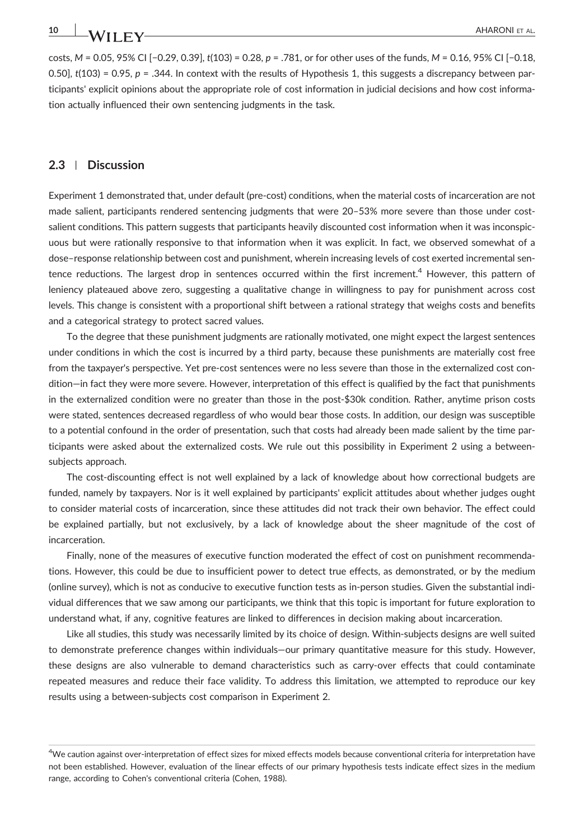costs, *M* = 0.05, 95% CI [−0.29, 0.39], *t*(103) = 0.28, *p* = .781, or for other uses of the funds, *M* = 0.16, 95% CI [−0.18, 0.50],  $t(103) = 0.95$ ,  $p = 0.344$ . In context with the results of Hypothesis 1, this suggests a discrepancy between participants' explicit opinions about the appropriate role of cost information in judicial decisions and how cost information actually influenced their own sentencing judgments in the task.

#### **2.3** | **Discussion**

Experiment 1 demonstrated that, under default (pre‐cost) conditions, when the material costs of incarceration are not made salient, participants rendered sentencing judgments that were 20-53% more severe than those under costsalient conditions. This pattern suggests that participants heavily discounted cost information when it was inconspicuous but were rationally responsive to that information when it was explicit. In fact, we observed somewhat of a dose–response relationship between cost and punishment, wherein increasing levels of cost exerted incremental sentence reductions. The largest drop in sentences occurred within the first increment.<sup>4</sup> However, this pattern of leniency plateaued above zero, suggesting a qualitative change in willingness to pay for punishment across cost levels. This change is consistent with a proportional shift between a rational strategy that weighs costs and benefits and a categorical strategy to protect sacred values.

To the degree that these punishment judgments are rationally motivated, one might expect the largest sentences under conditions in which the cost is incurred by a third party, because these punishments are materially cost free from the taxpayer's perspective. Yet pre-cost sentences were no less severe than those in the externalized cost condition—in fact they were more severe. However, interpretation of this effect is qualified by the fact that punishments in the externalized condition were no greater than those in the post‐\$30k condition. Rather, anytime prison costs were stated, sentences decreased regardless of who would bear those costs. In addition, our design was susceptible to a potential confound in the order of presentation, such that costs had already been made salient by the time participants were asked about the externalized costs. We rule out this possibility in Experiment 2 using a between‐ subjects approach.

The cost‐discounting effect is not well explained by a lack of knowledge about how correctional budgets are funded, namely by taxpayers. Nor is it well explained by participants' explicit attitudes about whether judges ought to consider material costs of incarceration, since these attitudes did not track their own behavior. The effect could be explained partially, but not exclusively, by a lack of knowledge about the sheer magnitude of the cost of incarceration.

Finally, none of the measures of executive function moderated the effect of cost on punishment recommendations. However, this could be due to insufficient power to detect true effects, as demonstrated, or by the medium (online survey), which is not as conducive to executive function tests as in‐person studies. Given the substantial individual differences that we saw among our participants, we think that this topic is important for future exploration to understand what, if any, cognitive features are linked to differences in decision making about incarceration.

Like all studies, this study was necessarily limited by its choice of design. Within‐subjects designs are well suited to demonstrate preference changes within individuals—our primary quantitative measure for this study. However, these designs are also vulnerable to demand characteristics such as carry‐over effects that could contaminate repeated measures and reduce their face validity. To address this limitation, we attempted to reproduce our key results using a between‐subjects cost comparison in Experiment 2.

<sup>4</sup> We caution against over‐interpretation of effect sizes for mixed effects models because conventional criteria for interpretation have not been established. However, evaluation of the linear effects of our primary hypothesis tests indicate effect sizes in the medium range, according to Cohen's conventional criteria (Cohen, 1988).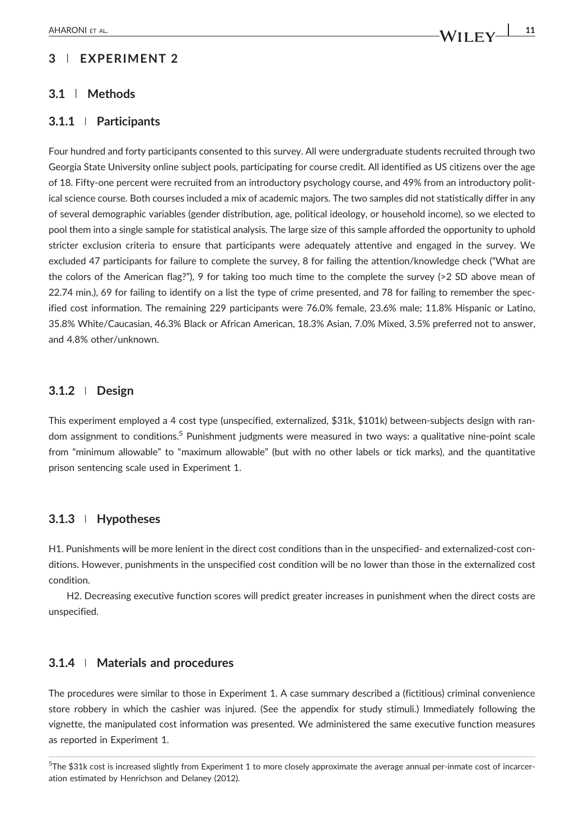## **3** | **EXPERIMENT 2**

### **3.1** | **Methods**

### **3.1.1** <sup>|</sup> **Participants**

Four hundred and forty participants consented to this survey. All were undergraduate students recruited through two Georgia State University online subject pools, participating for course credit. All identified as US citizens over the age of 18. Fifty-one percent were recruited from an introductory psychology course, and 49% from an introductory political science course. Both courses included a mix of academic majors. The two samples did not statistically differ in any of several demographic variables (gender distribution, age, political ideology, or household income), so we elected to pool them into a single sample for statistical analysis. The large size of this sample afforded the opportunity to uphold stricter exclusion criteria to ensure that participants were adequately attentive and engaged in the survey. We excluded 47 participants for failure to complete the survey, 8 for failing the attention/knowledge check ("What are the colors of the American flag?"), 9 for taking too much time to the complete the survey (>2 SD above mean of 22.74 min.), 69 for failing to identify on a list the type of crime presented, and 78 for failing to remember the specified cost information. The remaining 229 participants were 76.0% female, 23.6% male; 11.8% Hispanic or Latino, 35.8% White/Caucasian, 46.3% Black or African American, 18.3% Asian, 7.0% Mixed, 3.5% preferred not to answer, and 4.8% other/unknown.

### **3.1.2** <sup>|</sup> **Design**

This experiment employed a 4 cost type (unspecified, externalized, \$31k, \$101k) between‐subjects design with random assignment to conditions.<sup>5</sup> Punishment judgments were measured in two ways: a qualitative nine-point scale from "minimum allowable" to "maximum allowable" (but with no other labels or tick marks), and the quantitative prison sentencing scale used in Experiment 1.

### **3.1.3** <sup>|</sup> **Hypotheses**

H1. Punishments will be more lenient in the direct cost conditions than in the unspecified‐ and externalized‐cost conditions. However, punishments in the unspecified cost condition will be no lower than those in the externalized cost condition.

H2. Decreasing executive function scores will predict greater increases in punishment when the direct costs are unspecified.

### **3.1.4** <sup>|</sup> **Materials and procedures**

The procedures were similar to those in Experiment 1. A case summary described a (fictitious) criminal convenience store robbery in which the cashier was injured. (See the appendix for study stimuli.) Immediately following the vignette, the manipulated cost information was presented. We administered the same executive function measures as reported in Experiment 1.

<sup>&</sup>lt;sup>5</sup>The \$31k cost is increased slightly from Experiment 1 to more closely approximate the average annual per-inmate cost of incarceration estimated by Henrichson and Delaney (2012).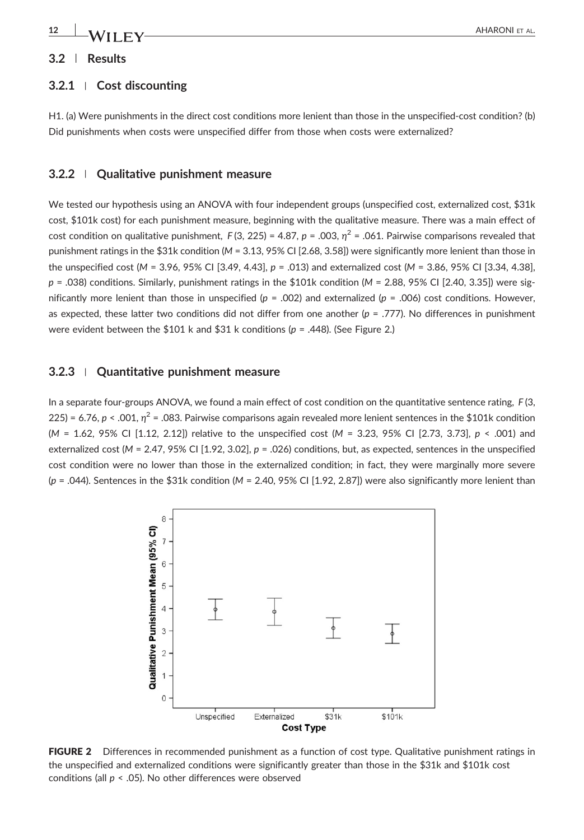# **12 I AHARONI ET AL.**

### **3.2** | **Results**

### **3.2.1** <sup>|</sup> **Cost discounting**

H1. (a) Were punishments in the direct cost conditions more lenient than those in the unspecified-cost condition? (b) Did punishments when costs were unspecified differ from those when costs were externalized?

### **3.2.2** <sup>|</sup> **Qualitative punishment measure**

We tested our hypothesis using an ANOVA with four independent groups (unspecified cost, externalized cost, \$31k cost, \$101k cost) for each punishment measure, beginning with the qualitative measure. There was a main effect of cost condition on qualitative punishment,  $F(3, 225) = 4.87$ ,  $p = .003$ ,  $n^2 = .061$ . Pairwise comparisons revealed that punishment ratings in the \$31k condition (*M* = 3.13, 95% CI [2.68, 3.58]) were significantly more lenient than those in the unspecified cost (*M* = 3.96, 95% CI [3.49, 4.43], *p* = .013) and externalized cost (*M* = 3.86, 95% CI [3.34, 4.38], *p* = .038) conditions. Similarly, punishment ratings in the \$101k condition (*M* = 2.88, 95% CI [2.40, 3.35]) were significantly more lenient than those in unspecified (*p* = .002) and externalized (*p* = .006) cost conditions. However, as expected, these latter two conditions did not differ from one another (*p* = .777). No differences in punishment were evident between the \$101 k and \$31 k conditions (*p* = .448). (See Figure 2.)

### **3.2.3** <sup>|</sup> **Quantitative punishment measure**

In a separate four-groups ANOVA, we found a main effect of cost condition on the quantitative sentence rating, *F* (3, 225) = 6.76, *p* < .001, *η*<sup>2</sup> = .083. Pairwise comparisons again revealed more lenient sentences in the \$101k condition (*M* = 1.62, 95% CI [1.12, 2.12]) relative to the unspecified cost (*M* = 3.23, 95% CI [2.73, 3.73], *p* < .001) and externalized cost (*M* = 2.47, 95% CI [1.92, 3.02], *p* = .026) conditions, but, as expected, sentences in the unspecified cost condition were no lower than those in the externalized condition; in fact, they were marginally more severe (*p* = .044). Sentences in the \$31k condition (*M* = 2.40, 95% CI [1.92, 2.87]) were also significantly more lenient than



FIGURE 2 Differences in recommended punishment as a function of cost type. Qualitative punishment ratings in the unspecified and externalized conditions were significantly greater than those in the \$31k and \$101k cost conditions (all *p* < .05). No other differences were observed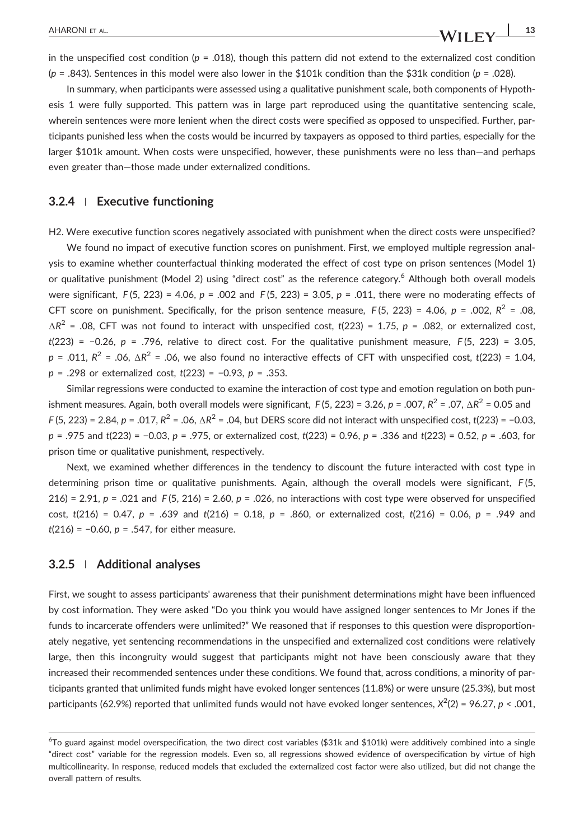in the unspecified cost condition  $(p = .018)$ , though this pattern did not extend to the externalized cost condition ( $p = .843$ ). Sentences in this model were also lower in the \$101k condition than the \$31k condition ( $p = .028$ ).

In summary, when participants were assessed using a qualitative punishment scale, both components of Hypothesis 1 were fully supported. This pattern was in large part reproduced using the quantitative sentencing scale, wherein sentences were more lenient when the direct costs were specified as opposed to unspecified. Further, participants punished less when the costs would be incurred by taxpayers as opposed to third parties, especially for the larger \$101k amount. When costs were unspecified, however, these punishments were no less than—and perhaps even greater than—those made under externalized conditions.

### **3.2.4** <sup>|</sup> **Executive functioning**

H2. Were executive function scores negatively associated with punishment when the direct costs were unspecified?

We found no impact of executive function scores on punishment. First, we employed multiple regression analysis to examine whether counterfactual thinking moderated the effect of cost type on prison sentences (Model 1) or qualitative punishment (Model 2) using "direct cost" as the reference category.<sup>6</sup> Although both overall models were significant, *F* (5, 223) = 4.06, *p* = .002 and *F* (5, 223) = 3.05, *p* = .011, there were no moderating effects of CFT score on punishment. Specifically, for the prison sentence measure,  $F(5, 223) = 4.06$ ,  $p = .002$ ,  $R^2 = .08$ ,  $\Delta R^2$  = .08, CFT was not found to interact with unspecified cost, *t*(223) = 1.75, *p* = .082, or externalized cost, *t*(223) = −0.26, *p* = .796, relative to direct cost. For the qualitative punishment measure, *F* (5, 223) = 3.05,  $p = .011$ ,  $R^2 = .06$ ,  $\Delta R^2 = .06$ , we also found no interactive effects of CFT with unspecified cost, *t*(223) = 1.04, *p* = .298 or externalized cost, *t*(223) = −0.93, *p* = .353.

Similar regressions were conducted to examine the interaction of cost type and emotion regulation on both punishment measures. Again, both overall models were significant,  $F(5, 223) = 3.26$ ,  $p = .007$ ,  $R^2 = .07$ ,  $\Delta R^2 = 0.05$  and *F* (5, 223) = 2.84, *p* = .017, *R*<sup>2</sup> = .06, Δ*R*<sup>2</sup> = .04, but DERS score did not interact with unspecified cost, *t*(223) = −0.03, *p* = .975 and *t*(223) = −0.03, *p* = .975, or externalized cost, *t*(223) = 0.96, *p* = .336 and *t*(223) = 0.52, *p* = .603, for prison time or qualitative punishment, respectively.

Next, we examined whether differences in the tendency to discount the future interacted with cost type in determining prison time or qualitative punishments. Again, although the overall models were significant, *F* (5, 216) = 2.91, *p* = .021 and *F* (5, 216) = 2.60, *p* = .026, no interactions with cost type were observed for unspecified cost, *t*(216) = 0.47, *p* = .639 and *t*(216) = 0.18, *p* = .860, or externalized cost, *t*(216) = 0.06, *p* = .949 and *t*(216) = −0.60, *p* = .547, for either measure.

#### **3.2.5** <sup>|</sup> **Additional analyses**

First, we sought to assess participants' awareness that their punishment determinations might have been influenced by cost information. They were asked "Do you think you would have assigned longer sentences to Mr Jones if the funds to incarcerate offenders were unlimited?" We reasoned that if responses to this question were disproportionately negative, yet sentencing recommendations in the unspecified and externalized cost conditions were relatively large, then this incongruity would suggest that participants might not have been consciously aware that they increased their recommended sentences under these conditions. We found that, across conditions, a minority of participants granted that unlimited funds might have evoked longer sentences (11.8%) or were unsure (25.3%), but most participants (62.9%) reported that unlimited funds would not have evoked longer sentences,  $X^2(2) = 96.27$ ,  $p < .001$ ,

<sup>6</sup> To guard against model overspecification, the two direct cost variables (\$31k and \$101k) were additively combined into a single "direct cost" variable for the regression models. Even so, all regressions showed evidence of overspecification by virtue of high multicollinearity. In response, reduced models that excluded the externalized cost factor were also utilized, but did not change the overall pattern of results.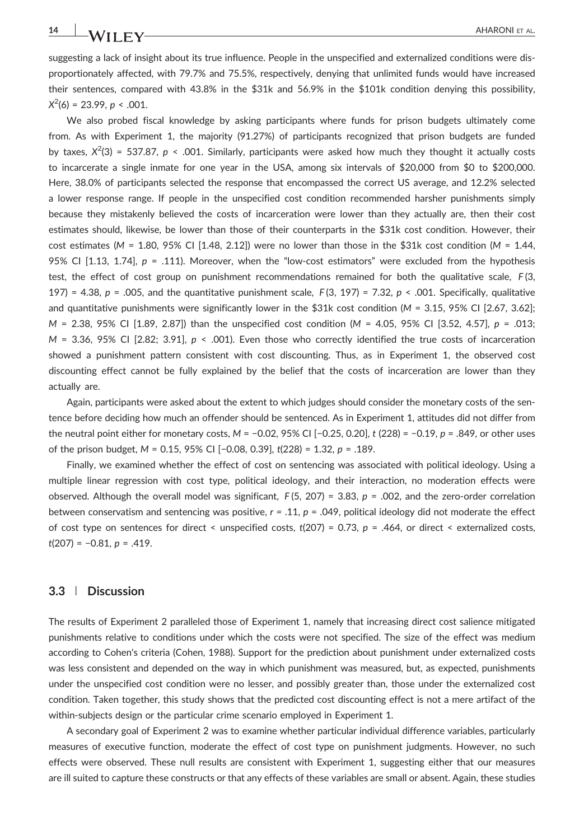suggesting a lack of insight about its true influence. People in the unspecified and externalized conditions were disproportionately affected, with 79.7% and 75.5%, respectively, denying that unlimited funds would have increased their sentences, compared with 43.8% in the \$31k and 56.9% in the \$101k condition denying this possibility, *X*2 (6) = 23.99, *p* < .001.

We also probed fiscal knowledge by asking participants where funds for prison budgets ultimately come from. As with Experiment 1, the majority (91.27%) of participants recognized that prison budgets are funded by taxes,  $X^2(3) = 537.87$ ,  $p < .001$ . Similarly, participants were asked how much they thought it actually costs to incarcerate a single inmate for one year in the USA, among six intervals of \$20,000 from \$0 to \$200,000. Here, 38.0% of participants selected the response that encompassed the correct US average, and 12.2% selected a lower response range. If people in the unspecified cost condition recommended harsher punishments simply because they mistakenly believed the costs of incarceration were lower than they actually are, then their cost estimates should, likewise, be lower than those of their counterparts in the \$31k cost condition. However, their cost estimates (*M* = 1.80, 95% CI [1.48, 2.12]) were no lower than those in the \$31k cost condition (*M* = 1.44, 95% CI [1.13, 1.74],  $p = .111$ ). Moreover, when the "low-cost estimators" were excluded from the hypothesis test, the effect of cost group on punishment recommendations remained for both the qualitative scale, *F* (3, 197) = 4.38, *p* = .005, and the quantitative punishment scale, *F* (3, 197) = 7.32, *p* < .001. Specifically, qualitative and quantitative punishments were significantly lower in the \$31k cost condition (*M* = 3.15, 95% CI [2.67, 3.62]; *M* = 2.38, 95% CI [1.89, 2.87]) than the unspecified cost condition (*M* = 4.05, 95% CI [3.52, 4.57], *p* = .013; *M* = 3.36, 95% CI [2.82; 3.91], *p* < .001). Even those who correctly identified the true costs of incarceration showed a punishment pattern consistent with cost discounting. Thus, as in Experiment 1, the observed cost discounting effect cannot be fully explained by the belief that the costs of incarceration are lower than they actually are.

Again, participants were asked about the extent to which judges should consider the monetary costs of the sentence before deciding how much an offender should be sentenced. As in Experiment 1, attitudes did not differ from the neutral point either for monetary costs, *M* = −0.02, 95% CI [−0.25, 0.20], *t* (228) = −0.19, *p* = .849, or other uses of the prison budget, *M* = 0.15, 95% CI [−0.08, 0.39], *t*(228) = 1.32, *p* = .189.

Finally, we examined whether the effect of cost on sentencing was associated with political ideology. Using a multiple linear regression with cost type, political ideology, and their interaction, no moderation effects were observed. Although the overall model was significant, *F* (5, 207) = 3.83, *p* = .002, and the zero‐order correlation between conservatism and sentencing was positive, *r =* .11, *p* = .049, political ideology did not moderate the effect of cost type on sentences for direct < unspecified costs,  $t(207) = 0.73$ ,  $p = .464$ , or direct < externalized costs, *t*(207) = −0.81, *p* = .419.

#### **3.3** | **Discussion**

The results of Experiment 2 paralleled those of Experiment 1, namely that increasing direct cost salience mitigated punishments relative to conditions under which the costs were not specified. The size of the effect was medium according to Cohen's criteria (Cohen, 1988). Support for the prediction about punishment under externalized costs was less consistent and depended on the way in which punishment was measured, but, as expected, punishments under the unspecified cost condition were no lesser, and possibly greater than, those under the externalized cost condition. Taken together, this study shows that the predicted cost discounting effect is not a mere artifact of the within-subjects design or the particular crime scenario employed in Experiment 1.

A secondary goal of Experiment 2 was to examine whether particular individual difference variables, particularly measures of executive function, moderate the effect of cost type on punishment judgments. However, no such effects were observed. These null results are consistent with Experiment 1, suggesting either that our measures are ill suited to capture these constructs or that any effects of these variables are small or absent. Again, these studies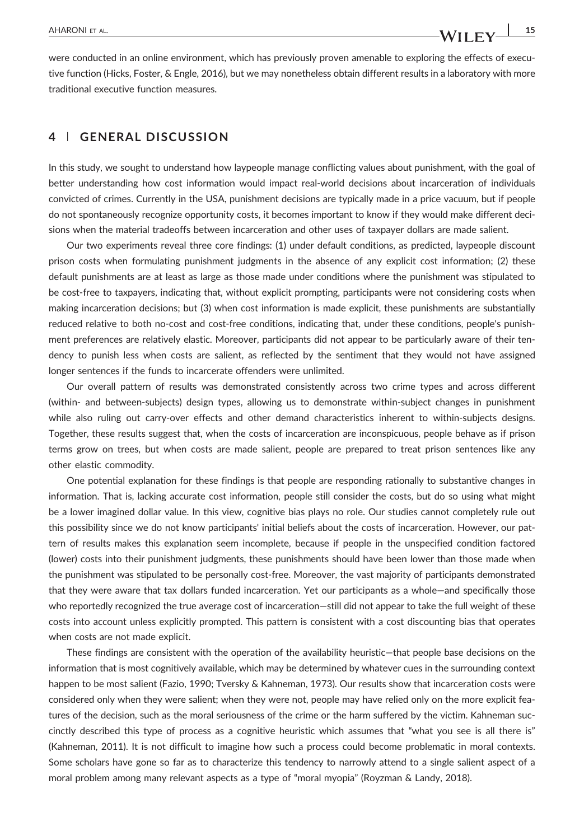were conducted in an online environment, which has previously proven amenable to exploring the effects of executive function (Hicks, Foster, & Engle, 2016), but we may nonetheless obtain different results in a laboratory with more traditional executive function measures.

### **4** | **GENERAL DISCUSSION**

In this study, we sought to understand how laypeople manage conflicting values about punishment, with the goal of better understanding how cost information would impact real‐world decisions about incarceration of individuals convicted of crimes. Currently in the USA, punishment decisions are typically made in a price vacuum, but if people do not spontaneously recognize opportunity costs, it becomes important to know if they would make different decisions when the material tradeoffs between incarceration and other uses of taxpayer dollars are made salient.

Our two experiments reveal three core findings: (1) under default conditions, as predicted, laypeople discount prison costs when formulating punishment judgments in the absence of any explicit cost information; (2) these default punishments are at least as large as those made under conditions where the punishment was stipulated to be cost-free to taxpayers, indicating that, without explicit prompting, participants were not considering costs when making incarceration decisions; but (3) when cost information is made explicit, these punishments are substantially reduced relative to both no-cost and cost-free conditions, indicating that, under these conditions, people's punishment preferences are relatively elastic. Moreover, participants did not appear to be particularly aware of their tendency to punish less when costs are salient, as reflected by the sentiment that they would not have assigned longer sentences if the funds to incarcerate offenders were unlimited.

Our overall pattern of results was demonstrated consistently across two crime types and across different (within‐ and between‐subjects) design types, allowing us to demonstrate within‐subject changes in punishment while also ruling out carry‐over effects and other demand characteristics inherent to within‐subjects designs. Together, these results suggest that, when the costs of incarceration are inconspicuous, people behave as if prison terms grow on trees, but when costs are made salient, people are prepared to treat prison sentences like any other elastic commodity.

One potential explanation for these findings is that people are responding rationally to substantive changes in information. That is, lacking accurate cost information, people still consider the costs, but do so using what might be a lower imagined dollar value. In this view, cognitive bias plays no role. Our studies cannot completely rule out this possibility since we do not know participants' initial beliefs about the costs of incarceration. However, our pattern of results makes this explanation seem incomplete, because if people in the unspecified condition factored (lower) costs into their punishment judgments, these punishments should have been lower than those made when the punishment was stipulated to be personally cost‐free. Moreover, the vast majority of participants demonstrated that they were aware that tax dollars funded incarceration. Yet our participants as a whole—and specifically those who reportedly recognized the true average cost of incarceration—still did not appear to take the full weight of these costs into account unless explicitly prompted. This pattern is consistent with a cost discounting bias that operates when costs are not made explicit.

These findings are consistent with the operation of the availability heuristic—that people base decisions on the information that is most cognitively available, which may be determined by whatever cues in the surrounding context happen to be most salient (Fazio, 1990; Tversky & Kahneman, 1973). Our results show that incarceration costs were considered only when they were salient; when they were not, people may have relied only on the more explicit features of the decision, such as the moral seriousness of the crime or the harm suffered by the victim. Kahneman succinctly described this type of process as a cognitive heuristic which assumes that "what you see is all there is" (Kahneman, 2011). It is not difficult to imagine how such a process could become problematic in moral contexts. Some scholars have gone so far as to characterize this tendency to narrowly attend to a single salient aspect of a moral problem among many relevant aspects as a type of "moral myopia" (Royzman & Landy, 2018).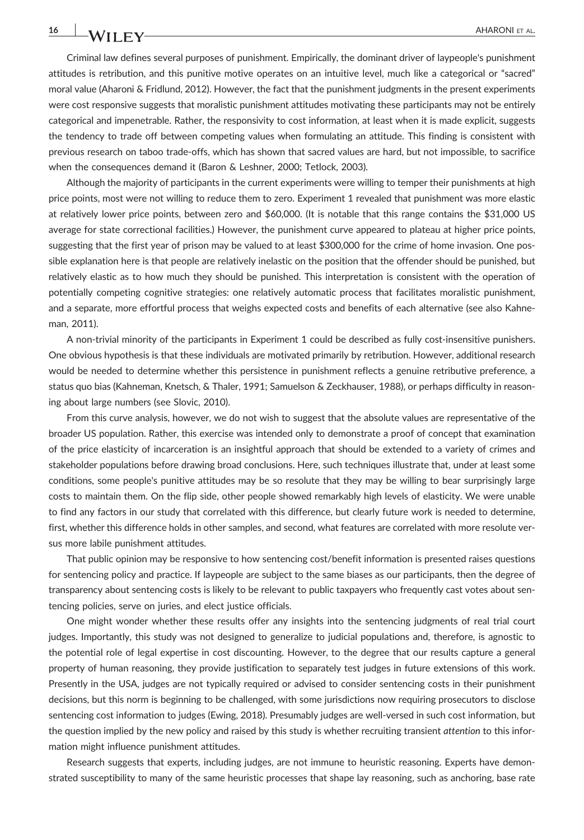Criminal law defines several purposes of punishment. Empirically, the dominant driver of laypeople's punishment attitudes is retribution, and this punitive motive operates on an intuitive level, much like a categorical or "sacred" moral value (Aharoni & Fridlund, 2012). However, the fact that the punishment judgments in the present experiments were cost responsive suggests that moralistic punishment attitudes motivating these participants may not be entirely categorical and impenetrable. Rather, the responsivity to cost information, at least when it is made explicit, suggests the tendency to trade off between competing values when formulating an attitude. This finding is consistent with previous research on taboo trade‐offs, which has shown that sacred values are hard, but not impossible, to sacrifice when the consequences demand it (Baron & Leshner, 2000; Tetlock, 2003).

Although the majority of participants in the current experiments were willing to temper their punishments at high price points, most were not willing to reduce them to zero. Experiment 1 revealed that punishment was more elastic at relatively lower price points, between zero and \$60,000. (It is notable that this range contains the \$31,000 US average for state correctional facilities.) However, the punishment curve appeared to plateau at higher price points, suggesting that the first year of prison may be valued to at least \$300,000 for the crime of home invasion. One possible explanation here is that people are relatively inelastic on the position that the offender should be punished, but relatively elastic as to how much they should be punished. This interpretation is consistent with the operation of potentially competing cognitive strategies: one relatively automatic process that facilitates moralistic punishment, and a separate, more effortful process that weighs expected costs and benefits of each alternative (see also Kahneman, 2011).

A non‐trivial minority of the participants in Experiment 1 could be described as fully cost‐insensitive punishers. One obvious hypothesis is that these individuals are motivated primarily by retribution. However, additional research would be needed to determine whether this persistence in punishment reflects a genuine retributive preference, a status quo bias (Kahneman, Knetsch, & Thaler, 1991; Samuelson & Zeckhauser, 1988), or perhaps difficulty in reasoning about large numbers (see Slovic, 2010).

From this curve analysis, however, we do not wish to suggest that the absolute values are representative of the broader US population. Rather, this exercise was intended only to demonstrate a proof of concept that examination of the price elasticity of incarceration is an insightful approach that should be extended to a variety of crimes and stakeholder populations before drawing broad conclusions. Here, such techniques illustrate that, under at least some conditions, some people's punitive attitudes may be so resolute that they may be willing to bear surprisingly large costs to maintain them. On the flip side, other people showed remarkably high levels of elasticity. We were unable to find any factors in our study that correlated with this difference, but clearly future work is needed to determine, first, whether this difference holds in other samples, and second, what features are correlated with more resolute versus more labile punishment attitudes.

That public opinion may be responsive to how sentencing cost/benefit information is presented raises questions for sentencing policy and practice. If laypeople are subject to the same biases as our participants, then the degree of transparency about sentencing costs is likely to be relevant to public taxpayers who frequently cast votes about sentencing policies, serve on juries, and elect justice officials.

One might wonder whether these results offer any insights into the sentencing judgments of real trial court judges. Importantly, this study was not designed to generalize to judicial populations and, therefore, is agnostic to the potential role of legal expertise in cost discounting. However, to the degree that our results capture a general property of human reasoning, they provide justification to separately test judges in future extensions of this work. Presently in the USA, judges are not typically required or advised to consider sentencing costs in their punishment decisions, but this norm is beginning to be challenged, with some jurisdictions now requiring prosecutors to disclose sentencing cost information to judges (Ewing, 2018). Presumably judges are well-versed in such cost information, but the question implied by the new policy and raised by this study is whether recruiting transient *attention* to this information might influence punishment attitudes.

Research suggests that experts, including judges, are not immune to heuristic reasoning. Experts have demonstrated susceptibility to many of the same heuristic processes that shape lay reasoning, such as anchoring, base rate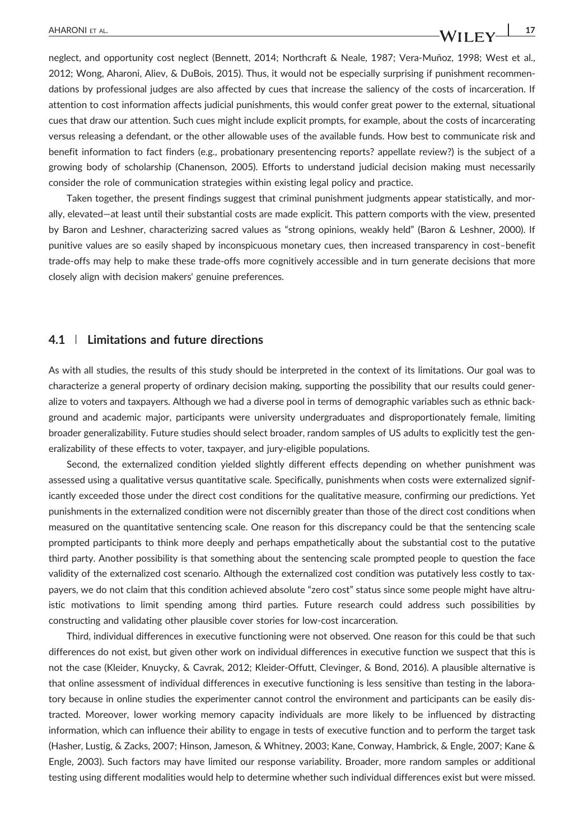neglect, and opportunity cost neglect (Bennett, 2014; Northcraft & Neale, 1987; Vera‐Muñoz, 1998; West et al., 2012; Wong, Aharoni, Aliev, & DuBois, 2015). Thus, it would not be especially surprising if punishment recommendations by professional judges are also affected by cues that increase the saliency of the costs of incarceration. If attention to cost information affects judicial punishments, this would confer great power to the external, situational cues that draw our attention. Such cues might include explicit prompts, for example, about the costs of incarcerating versus releasing a defendant, or the other allowable uses of the available funds. How best to communicate risk and benefit information to fact finders (e.g., probationary presentencing reports? appellate review?) is the subject of a growing body of scholarship (Chanenson, 2005). Efforts to understand judicial decision making must necessarily consider the role of communication strategies within existing legal policy and practice.

Taken together, the present findings suggest that criminal punishment judgments appear statistically, and morally, elevated—at least until their substantial costs are made explicit. This pattern comports with the view, presented by Baron and Leshner, characterizing sacred values as "strong opinions, weakly held" (Baron & Leshner, 2000). If punitive values are so easily shaped by inconspicuous monetary cues, then increased transparency in cost–benefit trade‐offs may help to make these trade‐offs more cognitively accessible and in turn generate decisions that more closely align with decision makers' genuine preferences.

### **4.1** | **Limitations and future directions**

As with all studies, the results of this study should be interpreted in the context of its limitations. Our goal was to characterize a general property of ordinary decision making, supporting the possibility that our results could generalize to voters and taxpayers. Although we had a diverse pool in terms of demographic variables such as ethnic background and academic major, participants were university undergraduates and disproportionately female, limiting broader generalizability. Future studies should select broader, random samples of US adults to explicitly test the generalizability of these effects to voter, taxpayer, and jury‐eligible populations.

Second, the externalized condition yielded slightly different effects depending on whether punishment was assessed using a qualitative versus quantitative scale. Specifically, punishments when costs were externalized significantly exceeded those under the direct cost conditions for the qualitative measure, confirming our predictions. Yet punishments in the externalized condition were not discernibly greater than those of the direct cost conditions when measured on the quantitative sentencing scale. One reason for this discrepancy could be that the sentencing scale prompted participants to think more deeply and perhaps empathetically about the substantial cost to the putative third party. Another possibility is that something about the sentencing scale prompted people to question the face validity of the externalized cost scenario. Although the externalized cost condition was putatively less costly to taxpayers, we do not claim that this condition achieved absolute "zero cost" status since some people might have altruistic motivations to limit spending among third parties. Future research could address such possibilities by constructing and validating other plausible cover stories for low‐cost incarceration.

Third, individual differences in executive functioning were not observed. One reason for this could be that such differences do not exist, but given other work on individual differences in executive function we suspect that this is not the case (Kleider, Knuycky, & Cavrak, 2012; Kleider‐Offutt, Clevinger, & Bond, 2016). A plausible alternative is that online assessment of individual differences in executive functioning is less sensitive than testing in the laboratory because in online studies the experimenter cannot control the environment and participants can be easily distracted. Moreover, lower working memory capacity individuals are more likely to be influenced by distracting information, which can influence their ability to engage in tests of executive function and to perform the target task (Hasher, Lustig, & Zacks, 2007; Hinson, Jameson, & Whitney, 2003; Kane, Conway, Hambrick, & Engle, 2007; Kane & Engle, 2003). Such factors may have limited our response variability. Broader, more random samples or additional testing using different modalities would help to determine whether such individual differences exist but were missed.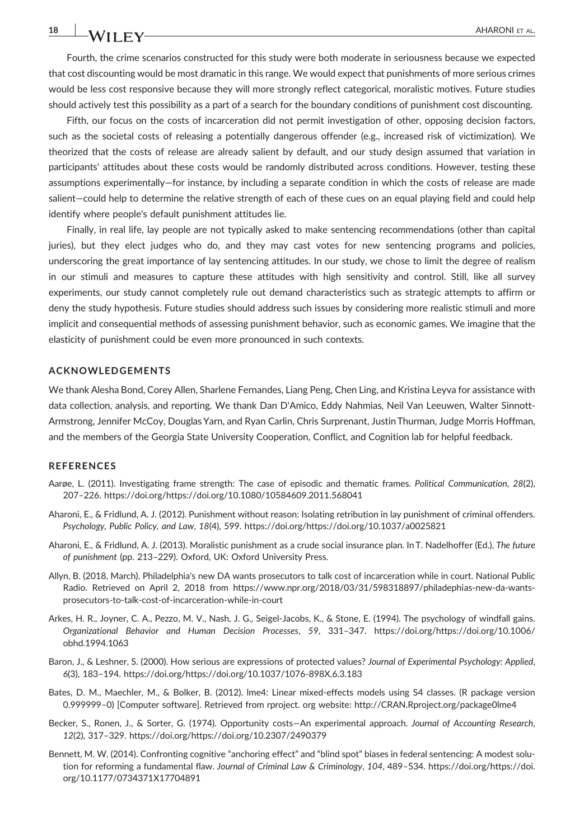Fourth, the crime scenarios constructed for this study were both moderate in seriousness because we expected that cost discounting would be most dramatic in this range. We would expect that punishments of more serious crimes would be less cost responsive because they will more strongly reflect categorical, moralistic motives. Future studies should actively test this possibility as a part of a search for the boundary conditions of punishment cost discounting.

Fifth, our focus on the costs of incarceration did not permit investigation of other, opposing decision factors, such as the societal costs of releasing a potentially dangerous offender (e.g., increased risk of victimization). We theorized that the costs of release are already salient by default, and our study design assumed that variation in participants' attitudes about these costs would be randomly distributed across conditions. However, testing these assumptions experimentally—for instance, by including a separate condition in which the costs of release are made salient—could help to determine the relative strength of each of these cues on an equal playing field and could help identify where people's default punishment attitudes lie.

Finally, in real life, lay people are not typically asked to make sentencing recommendations (other than capital juries), but they elect judges who do, and they may cast votes for new sentencing programs and policies, underscoring the great importance of lay sentencing attitudes. In our study, we chose to limit the degree of realism in our stimuli and measures to capture these attitudes with high sensitivity and control. Still, like all survey experiments, our study cannot completely rule out demand characteristics such as strategic attempts to affirm or deny the study hypothesis. Future studies should address such issues by considering more realistic stimuli and more implicit and consequential methods of assessing punishment behavior, such as economic games. We imagine that the elasticity of punishment could be even more pronounced in such contexts.

#### **ACKNOWLEDGEMENTS**

We thank Alesha Bond, Corey Allen, Sharlene Fernandes, Liang Peng, Chen Ling, and Kristina Leyva for assistance with data collection, analysis, and reporting. We thank Dan D'Amico, Eddy Nahmias, Neil Van Leeuwen, Walter Sinnott-Armstrong, Jennifer McCoy, Douglas Yarn, and Ryan Carlin, Chris Surprenant, Justin Thurman, Judge Morris Hoffman, and the members of the Georgia State University Cooperation, Conflict, and Cognition lab for helpful feedback.

#### **REFERENCES**

- Aarøe, L. (2011). Investigating frame strength: The case of episodic and thematic frames. *Political Communication*, *28*(2), 207–226. https://doi.org/<https://doi.org/10.1080/10584609.2011.568041>
- Aharoni, E., & Fridlund, A. J. (2012). Punishment without reason: Isolating retribution in lay punishment of criminal offenders. *Psychology, Public Policy, and Law*, *18*(4), 599. https://doi.org[/https://doi.org/10.1037/a0025821](https://doi.org/10.1037/a0025821)
- Aharoni, E., & Fridlund, A. J. (2013). Moralistic punishment as a crude social insurance plan. In T. Nadelhoffer (Ed.), *The future of punishment* (pp. 213–229). Oxford, UK: Oxford University Press.
- Allyn, B. (2018, March). Philadelphia's new DA wants prosecutors to talk cost of incarceration while in court. National Public Radio. Retrieved on April 2, 2018 from [https://www.npr.org/2018/03/31/598318897/philadephias](https://www.npr.org/2018/03/31/598318897/philadephias-new-da-wants-prosecutors-to-talk-cost-of-incarceration-while-in-court)-new-da-wantsprosecutors‐to‐talk‐cost‐of‐[incarceration](https://www.npr.org/2018/03/31/598318897/philadephias-new-da-wants-prosecutors-to-talk-cost-of-incarceration-while-in-court)‐while‐in‐court
- Arkes, H. R., Joyner, C. A., Pezzo, M. V., Nash, J. G., Seigel‐Jacobs, K., & Stone, E. (1994). The psychology of windfall gains. *Organizational Behavior and Human Decision Processes*, *59*, 331–347. https://doi.org[/https://doi.org/10.1006/](https://doi.org/10.1006/obhd.1994.1063) [obhd.1994.1063](https://doi.org/10.1006/obhd.1994.1063)
- Baron, J., & Leshner, S. (2000). How serious are expressions of protected values? *Journal of Experimental Psychology: Applied*, *6*(3), 183–194. https://doi.org[/https://doi.org/10.1037/1076](https://doi.org/10.1037/1076-898X.6.3.183)‐898X.6.3.183
- Bates, D. M., Maechler, M., & Bolker, B. (2012). lme4: Linear mixed‐effects models using S4 classes. (R package version 0.999999–0) [Computer software]. Retrieved from rproject. org website:<http://CRAN.Rproject.org/package0lme4>
- Becker, S., Ronen, J., & Sorter, G. (1974). Opportunity costs—An experimental approach. *Journal of Accounting Research*, *12*(2), 317–329. https://doi.org/<https://doi.org/10.2307/2490379>
- Bennett, M. W. (2014). Confronting cognitive "anchoring effect" and "blind spot" biases in federal sentencing: A modest solution for reforming a fundamental flaw. *Journal of Criminal Law & Criminology*, *104*, 489–534. https://doi.org[/https://doi.](https://doi.org/10.1177/0734371X17704891) [org/10.1177/0734371X17704891](https://doi.org/10.1177/0734371X17704891)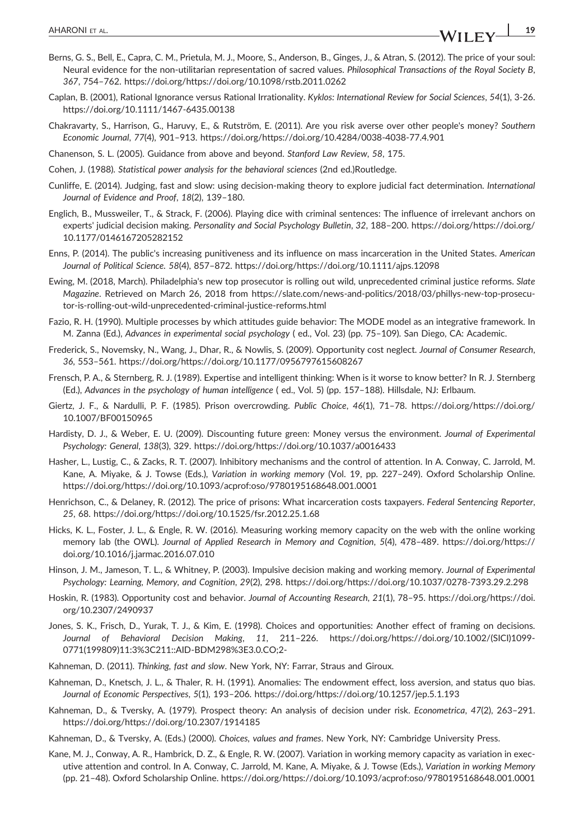- Berns, G. S., Bell, E., Capra, C. M., Prietula, M. J., Moore, S., Anderson, B., Ginges, J., & Atran, S. (2012). The price of your soul: Neural evidence for the non‐utilitarian representation of sacred values. *Philosophical Transactions of the Royal Society B*, *367*, 754–762. https://doi.org/<https://doi.org/10.1098/rstb.2011.0262>
- Caplan, B. (2001), Rational Ignorance versus Rational Irrationality. *Kyklos: International Review for Social Sciences*, *54*(1), 3‐26. [https://doi.org/10.1111/1467](https://doi.org/10.1111/1467-6435.00138)‐6435.00138
- Chakravarty, S., Harrison, G., Haruvy, E., & Rutström, E. (2011). Are you risk averse over other people's money? *Southern Economic Journal*, *77*(4), 901–913. https://doi.org/[https://doi.org/10.4284/0038](https://doi.org/10.4284/0038-4038-77.4.901)‐4038‐77.4.901
- Chanenson, S. L. (2005). Guidance from above and beyond. *Stanford Law Review*, *58*, 175.
- Cohen, J. (1988). *Statistical power analysis for the behavioral sciences* (2nd ed.)Routledge.
- Cunliffe, E. (2014). Judging, fast and slow: using decision‐making theory to explore judicial fact determination. *International Journal of Evidence and Proof*, *18*(2), 139–180.
- Englich, B., Mussweiler, T., & Strack, F. (2006). Playing dice with criminal sentences: The influence of irrelevant anchors on experts' judicial decision making. *Personality and Social Psychology Bulletin*, *32*, 188–200. https://doi.org/[https://doi.org/](https://doi.org/10.1177/0146167205282152) [10.1177/0146167205282152](https://doi.org/10.1177/0146167205282152)
- Enns, P. (2014). The public's increasing punitiveness and its influence on mass incarceration in the United States. *American Journal of Political Science. 58*(4), 857–872. https://doi.org/<https://doi.org/10.1111/ajps.12098>
- Ewing, M. (2018, March). Philadelphia's new top prosecutor is rolling out wild, unprecedented criminal justice reforms. *Slate Magazine*. Retrieved on March 26, 2018 from https://slate.com/news‐and‐[politics/2018/03/phillys](https://slate.com/news-and-politics/2018/03/phillys-new-top-prosecutor-is-rolling-out-wild-unprecedented-criminal-justice-reforms.html)‐new‐top‐prosecutor‐is‐rolling‐out‐wild‐[unprecedented](https://slate.com/news-and-politics/2018/03/phillys-new-top-prosecutor-is-rolling-out-wild-unprecedented-criminal-justice-reforms.html)‐criminal‐justice‐reforms.html
- Fazio, R. H. (1990). Multiple processes by which attitudes guide behavior: The MODE model as an integrative framework. In M. Zanna (Ed.), *Advances in experimental social psychology* ( ed., Vol. 23) (pp. 75–109). San Diego, CA: Academic.
- Frederick, S., Novemsky, N., Wang, J., Dhar, R., & Nowlis, S. (2009). Opportunity cost neglect. *Journal of Consumer Research*, *36*, 553–561. https://doi.org[/https://doi.org/10.1177/0956797615608267](https://doi.org/10.1177/0956797615608267)
- Frensch, P. A., & Sternberg, R. J. (1989). Expertise and intelligent thinking: When is it worse to know better? In R. J. Sternberg (Ed.), *Advances in the psychology of human intelligence* ( ed., Vol. 5) (pp. 157–188). Hillsdale, NJ: Erlbaum.
- Giertz, J. F., & Nardulli, P. F. (1985). Prison overcrowding. *Public Choice*, *46*(1), 71–78. https://doi.org/[https://doi.org/](https://doi.org/10.1007/BF00150965) [10.1007/BF00150965](https://doi.org/10.1007/BF00150965)
- Hardisty, D. J., & Weber, E. U. (2009). Discounting future green: Money versus the environment. *Journal of Experimental Psychology: General*, *138*(3), 329. https://doi.org/<https://doi.org/10.1037/a0016433>
- Hasher, L., Lustig, C., & Zacks, R. T. (2007). Inhibitory mechanisms and the control of attention. In A. Conway, C. Jarrold, M. Kane, A. Miyake, & J. Towse (Eds.), *Variation in working memory* (Vol. 19, pp. 227–249). Oxford Scholarship Online. https://doi.org/<https://doi.org/10.1093/acprof:oso/9780195168648.001.0001>
- Henrichson, C., & Delaney, R. (2012). The price of prisons: What incarceration costs taxpayers. *Federal Sentencing Reporter*, *25*, 68. https://doi.org[/https://doi.org/10.1525/fsr.2012.25.1.68](https://doi.org/10.1525/fsr.2012.25.1.68)
- Hicks, K. L., Foster, J. L., & Engle, R. W. (2016). Measuring working memory capacity on the web with the online working memory lab (the OWL). *Journal of Applied Research in Memory and Cognition*, *5*(4), 478–489. https://doi.org/[https://](https://doi.org/10.1016/j.jarmac.2016.07.010) [doi.org/10.1016/j.jarmac.2016.07.010](https://doi.org/10.1016/j.jarmac.2016.07.010)
- Hinson, J. M., Jameson, T. L., & Whitney, P. (2003). Impulsive decision making and working memory. *Journal of Experimental Psychology: Learning, Memory, and Cognition*, *29*(2), 298. https://doi.org/[https://doi.org/10.1037/0278](https://doi.org/10.1037/0278-7393.29.2.298)‐7393.29.2.298
- Hoskin, R. (1983). Opportunity cost and behavior. *Journal of Accounting Research*, *21*(1), 78–95. https://doi.org[/https://doi.](https://doi.org/10.2307/2490937) [org/10.2307/2490937](https://doi.org/10.2307/2490937)
- Jones, S. K., Frisch, D., Yurak, T. J., & Kim, E. (1998). Choices and opportunities: Another effect of framing on decisions. *Journal of Behavioral Decision Making*, *11*, 211–226. https://doi.org[/https://doi.org/10.1002/\(SICI\)1099](https://doi.org/10.1002/(SICI)1099-0771(199809)11:3%3C211::AID-BDM298%3E3.0.CO;2-)‐ [0771\(199809\)11:3%3C211::AID](https://doi.org/10.1002/(SICI)1099-0771(199809)11:3%3C211::AID-BDM298%3E3.0.CO;2-)‐BDM298%3E3.0.CO;2‐
- Kahneman, D. (2011). *Thinking, fast and slow*. New York, NY: Farrar, Straus and Giroux.
- Kahneman, D., Knetsch, J. L., & Thaler, R. H. (1991). Anomalies: The endowment effect, loss aversion, and status quo bias. *Journal of Economic Perspectives*, *5*(1), 193–206. https://doi.org/<https://doi.org/10.1257/jep.5.1.193>
- Kahneman, D., & Tversky, A. (1979). Prospect theory: An analysis of decision under risk. *Econometrica*, *47*(2), 263–291. https://doi.org/<https://doi.org/10.2307/1914185>
- Kahneman, D., & Tversky, A. (Eds.) (2000). *Choices, values and frames*. New York, NY: Cambridge University Press.
- Kane, M. J., Conway, A. R., Hambrick, D. Z., & Engle, R. W. (2007). Variation in working memory capacity as variation in executive attention and control. In A. Conway, C. Jarrold, M. Kane, A. Miyake, & J. Towse (Eds.), *Variation in working Memory* (pp. 21–48). Oxford Scholarship Online. https://doi.org/<https://doi.org/10.1093/acprof:oso/9780195168648.001.0001>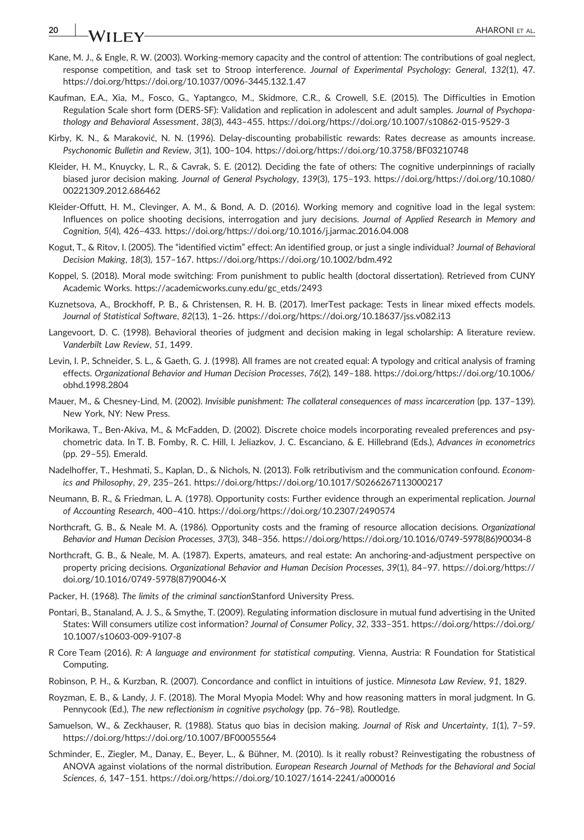### **20** AHARONI ET AL.

- Kane, M. J., & Engle, R. W. (2003). Working‐memory capacity and the control of attention: The contributions of goal neglect, response competition, and task set to Stroop interference. *Journal of Experimental Psychology: General*, *132*(1), 47. https://doi.org/[https://doi.org/10.1037/0096](https://doi.org/10.1037/0096-3445.132.1.47)‐3445.132.1.47
- Kaufman, E.A., Xia, M., Fosco, G., Yaptangco, M., Skidmore, C.R., & Crowell, S.E. (2015). The Difficulties in Emotion Regulation Scale short form (DERS‐SF): Validation and replication in adolescent and adult samples. *Journal of Psychopathology and Behavioral Assessment*, *38*(3), 443–455. https://doi.org/[https://doi.org/10.1007/s10862](https://doi.org/10.1007/s10862-015-9529-3)‐015‐9529‐3
- Kirby, K. N., & Maraković, N. N. (1996). Delay‐discounting probabilistic rewards: Rates decrease as amounts increase. *Psychonomic Bulletin and Review*, *3*(1), 100–104. https://doi.org[/https://doi.org/10.3758/BF03210748](https://doi.org/10.3758/BF03210748)
- Kleider, H. M., Knuycky, L. R., & Cavrak, S. E. (2012). Deciding the fate of others: The cognitive underpinnings of racially biased juror decision making. *Journal of General Psychology*, *139*(3), 175–193. https://doi.org[/https://doi.org/10.1080/](https://doi.org/10.1080/00221309.2012.686462) [00221309.2012.686462](https://doi.org/10.1080/00221309.2012.686462)
- Kleider‐Offutt, H. M., Clevinger, A. M., & Bond, A. D. (2016). Working memory and cognitive load in the legal system: Influences on police shooting decisions, interrogation and jury decisions. *Journal of Applied Research in Memory and Cognition*, *5*(4), 426–433. https://doi.org[/https://doi.org/10.1016/j.jarmac.2016.04.008](https://doi.org/10.1016/j.jarmac.2016.04.008)
- Kogut, T., & Ritov, I. (2005). The "identified victim" effect: An identified group, or just a single individual? *Journal of Behavioral Decision Making*, *18*(3), 157–167. https://doi.org/<https://doi.org/10.1002/bdm.492>
- Koppel, S. (2018). Moral mode switching: From punishment to public health (doctoral dissertation). Retrieved from CUNY Academic Works. [https://academicworks.cuny.edu/gc\\_etds/2493](https://academicworks.cuny.edu/gc_etds/2493)
- Kuznetsova, A., Brockhoff, P. B., & Christensen, R. H. B. (2017). lmerTest package: Tests in linear mixed effects models. *Journal of Statistical Software*, *82*(13), 1–26. https://doi.org/<https://doi.org/10.18637/jss.v082.i13>
- Langevoort, D. C. (1998). Behavioral theories of judgment and decision making in legal scholarship: A literature review. *Vanderbilt Law Review*, *51*, 1499.
- Levin, I. P., Schneider, S. L., & Gaeth, G. J. (1998). All frames are not created equal: A typology and critical analysis of framing effects. *Organizational Behavior and Human Decision Processes*, *76*(2), 149–188. https://doi.org[/https://doi.org/10.1006/](https://doi.org/10.1006/obhd.1998.2804) [obhd.1998.2804](https://doi.org/10.1006/obhd.1998.2804)
- Mauer, M., & Chesney‐Lind, M. (2002). *Invisible punishment: The collateral consequences of mass incarceration* (pp. 137–139). New York, NY: New Press.
- Morikawa, T., Ben‐Akiva, M., & McFadden, D. (2002). Discrete choice models incorporating revealed preferences and psychometric data. In T. B. Fomby, R. C. Hill, I. Jeliazkov, J. C. Escanciano, & E. Hillebrand (Eds.), *Advances in econometrics* (pp. 29–55). Emerald.
- Nadelhoffer, T., Heshmati, S., Kaplan, D., & Nichols, N. (2013). Folk retributivism and the communication confound. *Economics and Philosophy*, *29*, 235–261. https://doi.org/<https://doi.org/10.1017/S0266267113000217>
- Neumann, B. R., & Friedman, L. A. (1978). Opportunity costs: Further evidence through an experimental replication. *Journal of Accounting Research*, 400–410. https://doi.org/<https://doi.org/10.2307/2490574>
- Northcraft, G. B., & Neale M. A. (1986). Opportunity costs and the framing of resource allocation decisions. *Organizational Behavior and Human Decision Processes*, *37*(3), 348–356. https://doi.org/[https://doi.org/10.1016/0749](https://doi.org/10.1016/0749-5978(86)90034-8)‐5978(86)90034‐8
- Northcraft, G. B., & Neale, M. A. (1987). Experts, amateurs, and real estate: An anchoring‐and‐adjustment perspective on property pricing decisions. *Organizational Behavior and Human Decision Processes*, *39*(1), 84–97. https://doi.org/[https://](https://doi.org/10.1016/0749-5978(87)90046-X) [doi.org/10.1016/0749](https://doi.org/10.1016/0749-5978(87)90046-X)‐5978(87)90046‐X
- Packer, H. (1968). *The limits of the criminal sanction*Stanford University Press.
- Pontari, B., Stanaland, A. J. S., & Smythe, T. (2009). Regulating information disclosure in mutual fund advertising in the United States: Will consumers utilize cost information? *Journal of Consumer Policy*, *32*, 333–351. https://doi.org/[https://doi.org/](https://doi.org/10.1007/s10603-009-9107-8) [10.1007/s10603](https://doi.org/10.1007/s10603-009-9107-8)‐009‐9107‐8
- R Core Team (2016). *R: A language and environment for statistical computing*. Vienna, Austria: R Foundation for Statistical Computing.
- Robinson, P. H., & Kurzban, R. (2007). Concordance and conflict in intuitions of justice. *Minnesota Law Review*, *91*, 1829.
- Royzman, E. B., & Landy, J. F. (2018). The Moral Myopia Model: Why and how reasoning matters in moral judgment. In G. Pennycook (Ed.), *The new reflectionism in cognitive psychology* (pp. 76–98). Routledge.
- Samuelson, W., & Zeckhauser, R. (1988). Status quo bias in decision making. *Journal of Risk and Uncertainty*, *1*(1), 7–59. https://doi.org/<https://doi.org/10.1007/BF00055564>
- Schminder, E., Ziegler, M., Danay, E., Beyer, L., & Bühner, M. (2010). Is it really robust? Reinvestigating the robustness of ANOVA against violations of the normal distribution. *European Research Journal of Methods for the Behavioral and Social Sciences*, *6*, 147–151. https://doi.org[/https://doi.org/10.1027/1614](https://doi.org/10.1027/1614-2241/a000016)‐2241/a000016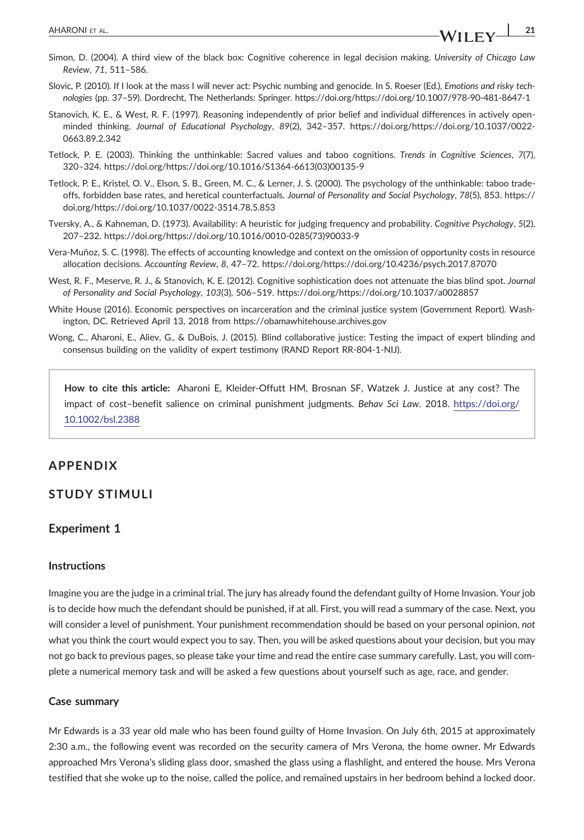- Simon, D. (2004). A third view of the black box: Cognitive coherence in legal decision making. *University of Chicago Law Review*, *71*, 511–586.
- Slovic, P. (2010). If I look at the mass I will never act: Psychic numbing and genocide. In S. Roeser (Ed.), *Emotions and risky technologies* (pp. 37–59). Dordrecht, The Netherlands: Springer. https://doi.org[/https://doi.org/10.1007/978](https://doi.org/10.1007/978-90-481-8647-1)‐90‐481‐8647‐1
- Stanovich, K. E., & West, R. F. (1997). Reasoning independently of prior belief and individual differences in actively open‐ minded thinking. *Journal of Educational Psychology*, *89*(2), 342–357. https://doi.org[/https://doi.org/10.1037/0022](https://doi.org/10.1037/0022-0663.89.2.342)‐ [0663.89.2.342](https://doi.org/10.1037/0022-0663.89.2.342)
- Tetlock, P. E. (2003). Thinking the unthinkable: Sacred values and taboo cognitions. *Trends in Cognitive Sciences*, *7*(7), 320–324. https://doi.org/[https://doi.org/10.1016/S1364](https://doi.org/10.1016/S1364-6613(03)00135-9)‐6613(03)00135‐9
- Tetlock, P. E., Kristel, O. V., Elson, S. B., Green, M. C., & Lerner, J. S. (2000). The psychology of the unthinkable: taboo trade‐ offs, forbidden base rates, and heretical counterfactuals. *Journal of Personality and Social Psychology*, *78*(5), 853. https:// doi.org[/https://doi.org/10.1037/0022](https://doi.org/10.1037/0022-3514.78.5.853)‐3514.78.5.853
- Tversky, A., & Kahneman, D. (1973). Availability: A heuristic for judging frequency and probability. *Cognitive Psychology*, *5*(2), 207–232. https://doi.org/[https://doi.org/10.1016/0010](https://doi.org/10.1016/0010-0285(73)90033-9)‐0285(73)90033‐9
- Vera‐Muñoz, S. C. (1998). The effects of accounting knowledge and context on the omission of opportunity costs in resource allocation decisions. *Accounting Review*, *8*, 47–72. https://doi.org/<https://doi.org/10.4236/psych.2017.87070>
- West, R. F., Meserve, R. J., & Stanovich, K. E. (2012). Cognitive sophistication does not attenuate the bias blind spot. *Journal of Personality and Social Psychology*, *103*(3), 506–519. https://doi.org/<https://doi.org/10.1037/a0028857>
- White House (2016). Economic perspectives on incarceration and the criminal justice system (Government Report). Washington, DC. Retrieved April 13, 2018 from<https://obamawhitehouse.archives.gov>
- Wong, C., Aharoni, E., Aliev, G., & DuBois, J. (2015). Blind collaborative justice: Testing the impact of expert blinding and consensus building on the validity of expert testimony (RAND Report RR‐804‐1‐NIJ).

**How to cite this article:** Aharoni E, Kleider‐Offutt HM, Brosnan SF, Watzek J. Justice at any cost? The impact of cost–benefit salience on criminal punishment judgments. *Behav Sci Law*. 2018. [https://doi.org/](https://doi.org/10.1002/bsl.2388) [10.1002/bsl.2388](https://doi.org/10.1002/bsl.2388)

### **APPENDIX**

### **STUDY STIMULI**

### **Experiment 1**

#### **Instructions**

Imagine you are the judge in a criminal trial. The jury has already found the defendant guilty of Home Invasion. Your job is to decide how much the defendant should be punished, if at all. First, you will read a summary of the case. Next, you will consider a level of punishment. Your punishment recommendation should be based on your personal opinion, *not* what you think the court would expect you to say. Then, you will be asked questions about your decision, but you may not go back to previous pages, so please take your time and read the entire case summary carefully. Last, you will complete a numerical memory task and will be asked a few questions about yourself such as age, race, and gender.

#### **Case summary**

Mr Edwards is a 33 year old male who has been found guilty of Home Invasion. On July 6th, 2015 at approximately 2:30 a.m., the following event was recorded on the security camera of Mrs Verona, the home owner. Mr Edwards approached Mrs Verona's sliding glass door, smashed the glass using a flashlight, and entered the house. Mrs Verona testified that she woke up to the noise, called the police, and remained upstairs in her bedroom behind a locked door.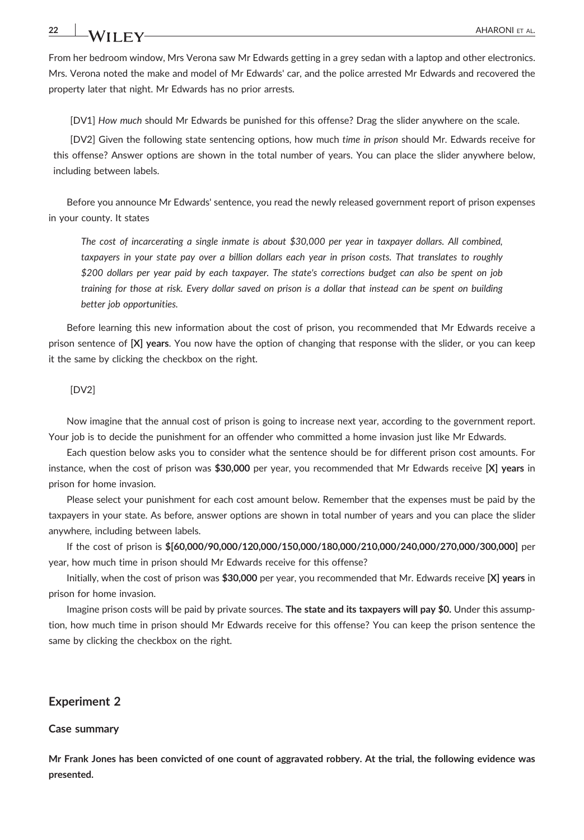From her bedroom window, Mrs Verona saw Mr Edwards getting in a grey sedan with a laptop and other electronics. Mrs. Verona noted the make and model of Mr Edwards' car, and the police arrested Mr Edwards and recovered the property later that night. Mr Edwards has no prior arrests.

[DV1] *How much* should Mr Edwards be punished for this offense? Drag the slider anywhere on the scale.

[DV2] Given the following state sentencing options, how much *time in prison* should Mr. Edwards receive for this offense? Answer options are shown in the total number of years. You can place the slider anywhere below, including between labels.

Before you announce Mr Edwards' sentence, you read the newly released government report of prison expenses in your county. It states

*The cost of incarcerating a single inmate is about \$30,000 per year in taxpayer dollars. All combined, taxpayers in your state pay over a billion dollars each year in prison costs. That translates to roughly \$200 dollars per year paid by each taxpayer. The state's corrections budget can also be spent on job training for those at risk. Every dollar saved on prison is a dollar that instead can be spent on building better job opportunities.*

Before learning this new information about the cost of prison, you recommended that Mr Edwards receive a prison sentence of **[X] years**. You now have the option of changing that response with the slider, or you can keep it the same by clicking the checkbox on the right.

#### [DV2]

Now imagine that the annual cost of prison is going to increase next year, according to the government report. Your job is to decide the punishment for an offender who committed a home invasion just like Mr Edwards.

Each question below asks you to consider what the sentence should be for different prison cost amounts. For instance, when the cost of prison was **\$30,000** per year, you recommended that Mr Edwards receive **[X] years** in prison for home invasion.

Please select your punishment for each cost amount below. Remember that the expenses must be paid by the taxpayers in your state. As before, answer options are shown in total number of years and you can place the slider anywhere, including between labels.

If the cost of prison is **\$[60,000/90,000/120,000/150,000/180,000/210,000/240,000/270,000/300,000]** per year, how much time in prison should Mr Edwards receive for this offense?

Initially, when the cost of prison was **\$30,000** per year, you recommended that Mr. Edwards receive **[X] years** in prison for home invasion.

Imagine prison costs will be paid by private sources. **The state and its taxpayers will pay \$0.** Under this assumption, how much time in prison should Mr Edwards receive for this offense? You can keep the prison sentence the same by clicking the checkbox on the right.

### **Experiment 2**

#### **Case summary**

**Mr Frank Jones has been convicted of one count of aggravated robbery. At the trial, the following evidence was presented.**